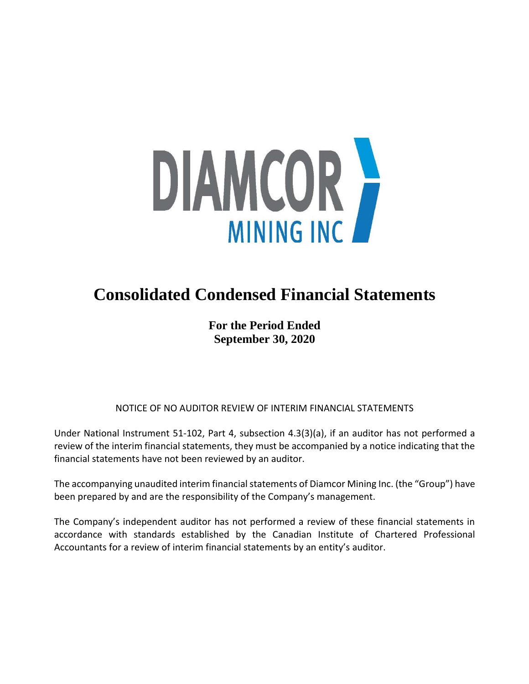

# **Consolidated Condensed Financial Statements**

**For the Period Ended September 30, 2020**

NOTICE OF NO AUDITOR REVIEW OF INTERIM FINANCIAL STATEMENTS

Under National Instrument 51-102, Part 4, subsection 4.3(3)(a), if an auditor has not performed a review of the interim financial statements, they must be accompanied by a notice indicating that the financial statements have not been reviewed by an auditor.

The accompanying unaudited interim financial statements of Diamcor Mining Inc. (the "Group") have been prepared by and are the responsibility of the Company's management.

The Company's independent auditor has not performed a review of these financial statements in accordance with standards established by the Canadian Institute of Chartered Professional Accountants for a review of interim financial statements by an entity's auditor.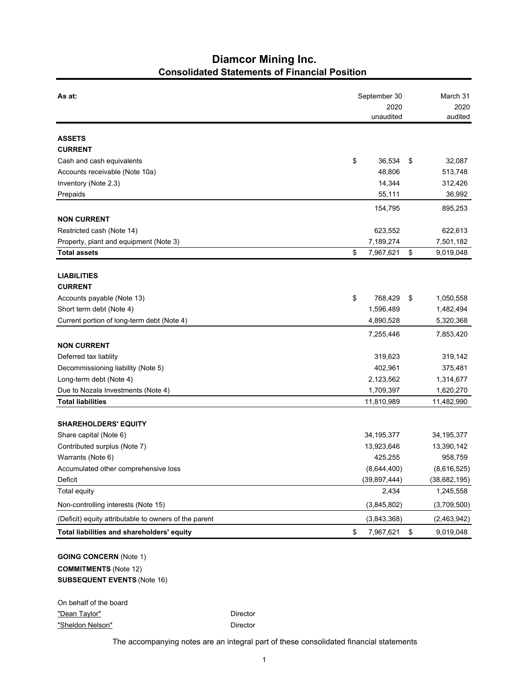# **Diamcor Mining Inc. Consolidated Statements of Financial Position**

| As at:                                                 | September 30    | March 31        |
|--------------------------------------------------------|-----------------|-----------------|
|                                                        | 2020            | 2020            |
|                                                        | unaudited       | audited         |
| <b>ASSETS</b>                                          |                 |                 |
| <b>CURRENT</b>                                         |                 |                 |
| Cash and cash equivalents                              | \$<br>36,534    | \$<br>32,087    |
| Accounts receivable (Note 10a)                         | 48,806          | 513,748         |
| Inventory (Note 2.3)                                   | 14,344          | 312,426         |
| Prepaids                                               | 55,111          | 36,992          |
|                                                        | 154,795         | 895,253         |
| <b>NON CURRENT</b>                                     |                 |                 |
| Restricted cash (Note 14)                              | 623,552         | 622,613         |
| Property, plant and equipment (Note 3)                 | 7,189,274       | 7,501,182       |
| <b>Total assets</b>                                    | \$<br>7,967,621 | \$<br>9,019,048 |
|                                                        |                 |                 |
| <b>LIABILITIES</b><br><b>CURRENT</b>                   |                 |                 |
| Accounts payable (Note 13)                             | \$<br>768,429   | \$<br>1,050,558 |
| Short term debt (Note 4)                               | 1,596,489       | 1,482,494       |
| Current portion of long-term debt (Note 4)             | 4,890,528       | 5,320,368       |
|                                                        |                 |                 |
| <b>NON CURRENT</b>                                     | 7,255,446       | 7,853,420       |
| Deferred tax liablity                                  | 319,623         | 319,142         |
| Decommissioning liability (Note 5)                     | 402,961         | 375,481         |
| Long-term debt (Note 4)                                | 2,123,562       | 1,314,677       |
| Due to Nozala Investments (Note 4)                     | 1,709,397       | 1,620,270       |
| <b>Total liabilities</b>                               | 11,810,989      | 11,482,990      |
|                                                        |                 |                 |
| <b>SHAREHOLDERS' EQUITY</b>                            |                 |                 |
| Share capital (Note 6)                                 | 34, 195, 377    | 34, 195, 377    |
| Contributed surplus (Note 7)                           | 13,923,646      | 13,390,142      |
| Warrants (Note 6)                                      | 425,255         | 958,759         |
| Accumulated other comprehensive loss                   | (8,644,400)     | (8,616,525)     |
| Deficit                                                | (39, 897, 444)  | (38, 682, 195)  |
| <b>Total equity</b>                                    | 2,434           | 1,245,558       |
| Non-controlling interests (Note 15)                    | (3,845,802)     | (3,709,500)     |
| (Deficit) equity attributable to owners of the parent  | (3,843,368)     | (2,463,942)     |
| Total liabilities and shareholders' equity             | \$<br>7,967,621 | \$<br>9,019,048 |
| <b>GOING CONCERN (Note 1)</b><br>COMMUTMENTO (MELL AO) |                 |                 |

**COMMITMENTS** (Note 12) **SUBSEQUENT EVENTS** (Note 16)

On behalf of the board "Dean Taylor" **Director** Director "Sheldon Nelson" Director

The accompanying notes are an integral part of these consolidated financial statements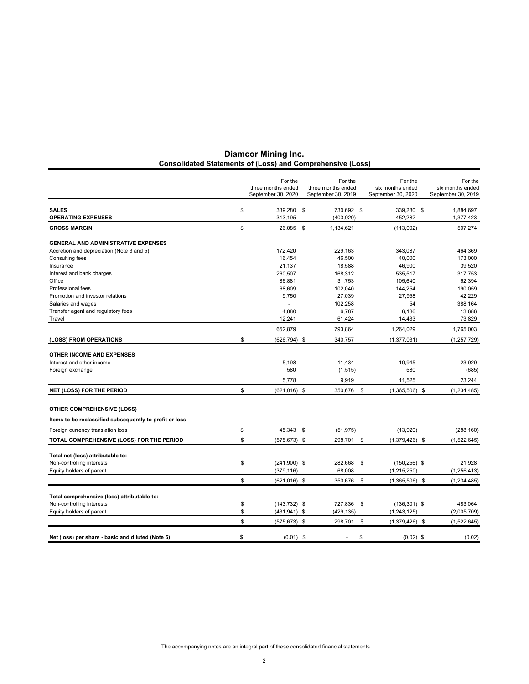|                                                         |          | For the<br>three months ended<br>September 30, 2020 | For the<br>three months ended<br>September 30, 2019 | For the<br>six months ended<br>September 30, 2020 | For the<br>six months ended<br>September 30, 2019 |
|---------------------------------------------------------|----------|-----------------------------------------------------|-----------------------------------------------------|---------------------------------------------------|---------------------------------------------------|
| <b>SALES</b>                                            | \$       | 339,280                                             | \$<br>730,692 \$                                    | 339,280 \$                                        | 1,884,697                                         |
| <b>OPERATING EXPENSES</b>                               |          | 313,195                                             | (403, 929)                                          | 452,282                                           | 1,377,423                                         |
| <b>GROSS MARGIN</b>                                     | \$       | 26,085                                              | \$<br>1,134,621                                     | (113,002)                                         | 507,274                                           |
| <b>GENERAL AND ADMINISTRATIVE EXPENSES</b>              |          |                                                     |                                                     |                                                   |                                                   |
| Accretion and depreciation (Note 3 and 5)               |          | 172,420                                             | 229,163                                             | 343,087                                           | 464,369                                           |
| Consulting fees                                         |          | 16.454                                              | 46,500                                              | 40,000                                            | 173,000                                           |
| Insurance                                               |          | 21,137                                              | 18,588                                              | 46,900                                            | 39,520                                            |
| Interest and bank charges                               |          | 260,507                                             | 168,312                                             | 535,517                                           | 317,753                                           |
| Office                                                  |          | 86,881                                              | 31,753                                              | 105,640                                           | 62,394                                            |
| Professional fees                                       |          | 68,609                                              | 102,040                                             | 144,254                                           | 190,059                                           |
| Promotion and investor relations                        |          | 9,750                                               | 27,039                                              | 27,958                                            | 42,229                                            |
| Salaries and wages                                      |          |                                                     | 102,258                                             | 54                                                | 388,164                                           |
| Transfer agent and regulatory fees                      |          | 4,880                                               | 6,787                                               | 6,186                                             | 13,686                                            |
| Travel                                                  |          | 12,241                                              | 61,424                                              | 14,433                                            | 73,829                                            |
|                                                         |          | 652,879                                             | 793,864                                             | 1,264,029                                         | 1,765,003                                         |
| (LOSS) FROM OPERATIONS                                  | \$       | $(626, 794)$ \$                                     | 340,757                                             | (1, 377, 031)                                     | (1, 257, 729)                                     |
| <b>OTHER INCOME AND EXPENSES</b>                        |          |                                                     |                                                     |                                                   |                                                   |
| Interest and other income                               |          | 5,198<br>580                                        | 11,434                                              | 10,945                                            | 23,929                                            |
| Foreign exchange                                        |          |                                                     | (1, 515)                                            | 580                                               | (685)                                             |
|                                                         |          | 5,778                                               | 9,919                                               | 11,525                                            | 23,244                                            |
| <b>NET (LOSS) FOR THE PERIOD</b>                        | \$       | $(621,016)$ \$                                      | 350,676                                             | \$<br>$(1,365,506)$ \$                            | (1, 234, 485)                                     |
| <b>OTHER COMPREHENSIVE (LOSS)</b>                       |          |                                                     |                                                     |                                                   |                                                   |
| Items to be reclassified subsequently to profit or loss |          |                                                     |                                                     |                                                   |                                                   |
| Foreign currency translation loss                       | \$       | 45,343                                              | \$<br>(51, 975)                                     | (13,920)                                          | (288, 160)                                        |
| TOTAL COMPREHENSIVE (LOSS) FOR THE PERIOD               | \$       | $(575, 673)$ \$                                     | 298,701 \$                                          | $(1,379,426)$ \$                                  | (1,522,645)                                       |
| Total net (loss) attributable to:                       |          |                                                     |                                                     |                                                   |                                                   |
| Non-controlling interests                               | \$       | $(241,900)$ \$                                      | 282,668                                             | \$<br>$(150, 256)$ \$                             | 21,928                                            |
| Equity holders of parent                                |          | (379, 116)                                          | 68,008                                              | (1,215,250)                                       | (1, 256, 413)                                     |
|                                                         | \$       | $(621, 016)$ \$                                     | 350,676                                             | \$<br>$(1,365,506)$ \$                            | (1, 234, 485)                                     |
|                                                         |          |                                                     |                                                     |                                                   |                                                   |
| Total comprehensive (loss) attributable to:             |          |                                                     |                                                     |                                                   |                                                   |
| Non-controlling interests<br>Equity holders of parent   | \$<br>\$ | $(143, 732)$ \$<br>$(431, 941)$ \$                  | 727,836<br>(429, 135)                               | \$<br>$(136, 301)$ \$<br>(1, 243, 125)            | 483,064<br>(2,005,709)                            |
|                                                         |          |                                                     |                                                     |                                                   |                                                   |
|                                                         | \$       | $(575, 673)$ \$                                     | 298,701                                             | \$<br>$(1,379,426)$ \$                            | (1,522,645)                                       |
| Net (loss) per share - basic and diluted (Note 6)       | \$       | $(0.01)$ \$                                         |                                                     | \$<br>$(0.02)$ \$                                 | (0.02)                                            |

#### **Diamcor Mining Inc. Consolidated Statements of (Loss) and Comprehensive (Loss)**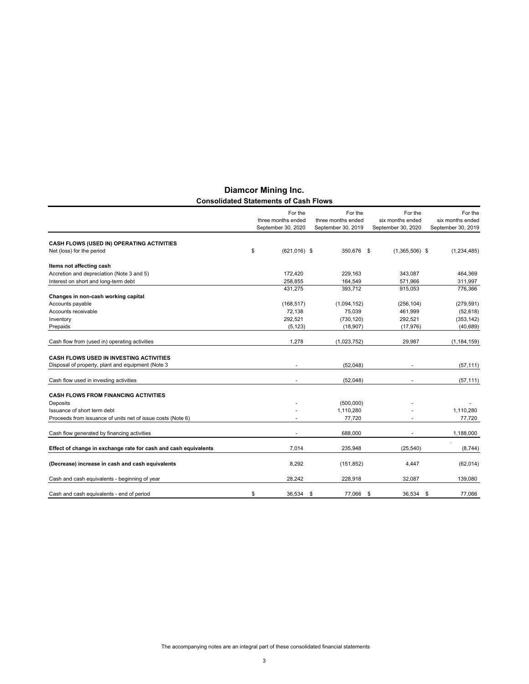|                                                                 | For the                                  | For the                                  | For the                                | For the                                |
|-----------------------------------------------------------------|------------------------------------------|------------------------------------------|----------------------------------------|----------------------------------------|
|                                                                 | three months ended<br>September 30, 2020 | three months ended<br>September 30, 2019 | six months ended<br>September 30, 2020 | six months ended<br>September 30, 2019 |
| CASH FLOWS (USED IN) OPERATING ACTIVITIES                       |                                          |                                          |                                        |                                        |
| Net (loss) for the period                                       | \$<br>$(621.016)$ \$                     | 350.676 \$                               | $(1,365,506)$ \$                       | (1, 234, 485)                          |
| Items not affecting cash                                        |                                          |                                          |                                        |                                        |
| Accretion and depreciation (Note 3 and 5)                       | 172,420                                  | 229,163                                  | 343,087                                | 464,369                                |
| Interest on short and long-term debt                            | 258,855                                  | 164,549                                  | 571,966                                | 311,997                                |
|                                                                 | 431,275                                  | 393,712                                  | 915,053                                | 776,366                                |
| Changes in non-cash working capital                             |                                          |                                          |                                        |                                        |
| Accounts payable                                                | (168, 517)                               | (1,094,152)                              | (256, 104)                             | (279, 591)                             |
| Accounts receivable                                             | 72,138                                   | 75,039                                   | 461,999                                | (52, 618)                              |
| Inventory                                                       | 292,521                                  | (730, 120)                               | 292,521                                | (353, 142)                             |
| Prepaids                                                        | (5, 123)                                 | (18,907)                                 | (17, 976)                              | (40, 689)                              |
| Cash flow from (used in) operating activities                   | 1,278                                    | (1,023,752)                              | 29,987                                 | (1, 184, 159)                          |
| <b>CASH FLOWS USED IN INVESTING ACTIVITIES</b>                  |                                          |                                          |                                        |                                        |
| Disposal of property, plant and equipment (Note 3               |                                          | (52,048)                                 |                                        | (57, 111)                              |
| Cash flow used in investing activities                          |                                          | (52,048)                                 |                                        | (57, 111)                              |
| <b>CASH FLOWS FROM FINANCING ACTIVITIES</b>                     |                                          |                                          |                                        |                                        |
| Deposits                                                        |                                          | (500,000)                                |                                        |                                        |
| Issuance of short term debt                                     |                                          | 1,110,280                                |                                        | 1,110,280                              |
| Proceeds from issuance of units net of issue costs (Note 6)     |                                          | 77,720                                   |                                        | 77,720                                 |
| Cash flow generated by financing activities                     |                                          | 688.000                                  |                                        | 1,188,000                              |
| Effect of change in exchange rate for cash and cash equivalents | 7,014                                    | 235,948                                  | (25, 540)                              | (8,744)                                |
| (Decrease) increase in cash and cash equivalents                | 8,292                                    | (151, 852)                               | 4,447                                  | (62, 014)                              |
|                                                                 | 28,242                                   |                                          |                                        |                                        |
| Cash and cash equivalents - beginning of year                   |                                          | 228,918                                  | 32,087                                 | 139,080                                |
| Cash and cash equivalents - end of period                       | \$<br>36,534                             | \$<br>77,066                             | \$<br>36,534                           | 77.066<br>\$                           |

# **Diamcor Mining Inc. Consolidated Statements of Cash Flows**

The accompanying notes are an integral part of these consolidated financial statements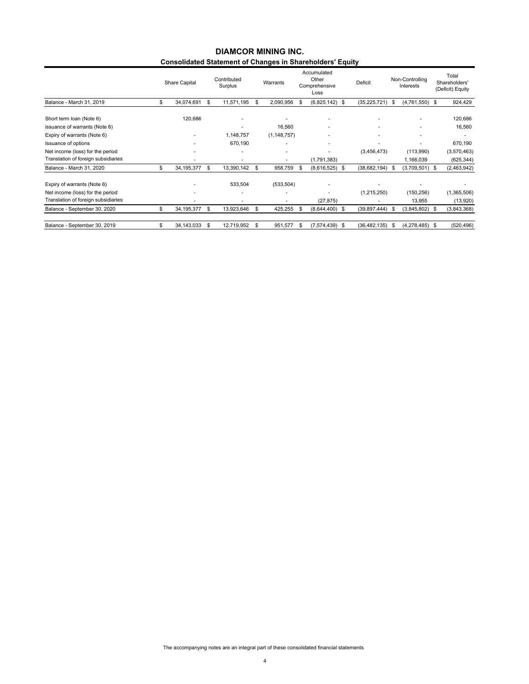# **Consolidated Statement of Changes in Shareholders' Equity DIAMCOR MINING INC.**

|                                     |    | Share Capital | Contributed<br>Surplus   |     | Warrants                 | Accumulated<br>Other<br>Comprehensive<br>Loss | Deficit        |      | Non-Controlling<br>Interests | Total<br>Shareholders'<br>(Deficit) Equity |
|-------------------------------------|----|---------------|--------------------------|-----|--------------------------|-----------------------------------------------|----------------|------|------------------------------|--------------------------------------------|
| Balance - March 31, 2019            | S  | 34,074,691    | \$<br>11,571,195         | \$. | 2,090,956                | \$<br>$(6,825,142)$ \$                        | (35, 225, 721) | - \$ | $(4,761,550)$ \$             | 924,429                                    |
| Short term loan (Note 6)            |    | 120,686       | $\overline{\phantom{a}}$ |     |                          | $\overline{\phantom{a}}$                      |                |      |                              | 120,686                                    |
| issuance of warrants (Note 6)       |    |               |                          |     | 16,560                   | ٠                                             |                |      |                              | 16,560                                     |
| Expiry of warrants (Note 6)         |    |               | 1,148,757                |     | (1, 148, 757)            |                                               |                |      |                              |                                            |
| Issuance of options                 |    |               | 670,190                  |     |                          |                                               |                |      |                              | 670,190                                    |
| Net income (loss) for the period    |    |               | $\overline{\phantom{a}}$ |     |                          |                                               | (3,456,473)    |      | (113,990)                    | (3,570,463)                                |
| Translation of foreign subsidiaries |    |               | $\overline{\phantom{a}}$ |     | $\overline{\phantom{a}}$ | (1,791,383)                                   |                |      | 1,166,039                    | (625, 344)                                 |
| Balance - March 31, 2020            | \$ | 34,195,377    | \$<br>13,390,142         | \$  | 958,759                  | \$<br>$(8,616,525)$ \$                        | (38, 682, 194) | - \$ | $(3,709,501)$ \$             | (2,463,942)                                |
| Expiry of warrants (Note 6)         |    |               | 533,504                  |     | (533, 504)               |                                               |                |      |                              |                                            |
| Net income (loss) for the period    |    |               | $\overline{\phantom{a}}$ |     |                          |                                               | (1,215,250)    |      | (150, 256)                   | (1,365,506)                                |
| Translation of foreign subsidiaries |    |               | $\overline{\phantom{a}}$ |     |                          | (27, 875)                                     |                |      | 13,955                       | (13,920)                                   |
| Balance - September 30, 2020        | \$ | 34, 195, 377  | \$<br>13,923,646         | \$  | 425,255                  | \$<br>$(8,644,400)$ \$                        | (39, 897, 444) | - \$ | $(3,845,802)$ \$             | (3,843,368)                                |
| Balance - September 30, 2019        | \$ | 34,143,033    | \$<br>12,719,952         | \$  | 951,577                  | \$<br>$(7,574,439)$ \$                        | (36, 482, 135) | \$   | $(4,278,485)$ \$             | (520, 496)                                 |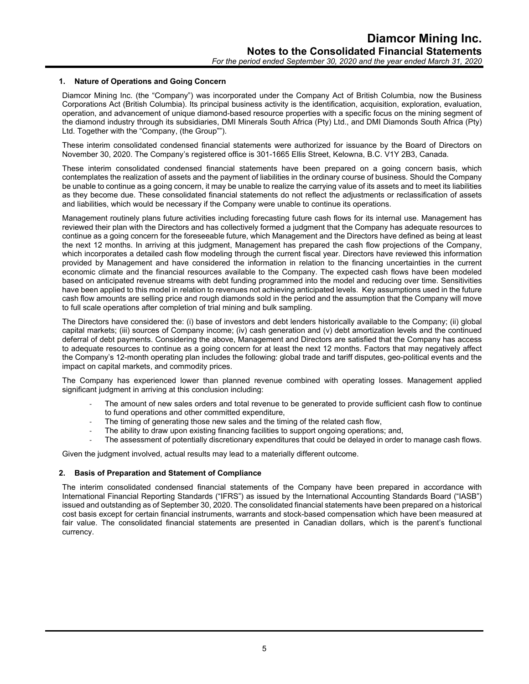#### **1. Nature of Operations and Going Concern**

Diamcor Mining Inc. (the "Company") was incorporated under the Company Act of British Columbia, now the Business Corporations Act (British Columbia). Its principal business activity is the identification, acquisition, exploration, evaluation, operation, and advancement of unique diamond-based resource properties with a specific focus on the mining segment of the diamond industry through its subsidiaries, DMI Minerals South Africa (Pty) Ltd., and DMI Diamonds South Africa (Pty) Ltd. Together with the "Company, (the Group"").

These interim consolidated condensed financial statements were authorized for issuance by the Board of Directors on November 30, 2020. The Company's registered office is 301-1665 Ellis Street, Kelowna, B.C. V1Y 2B3, Canada.

These interim consolidated condensed financial statements have been prepared on a going concern basis, which contemplates the realization of assets and the payment of liabilities in the ordinary course of business. Should the Company be unable to continue as a going concern, it may be unable to realize the carrying value of its assets and to meet its liabilities as they become due. These consolidated financial statements do not reflect the adjustments or reclassification of assets and liabilities, which would be necessary if the Company were unable to continue its operations.

Management routinely plans future activities including forecasting future cash flows for its internal use. Management has reviewed their plan with the Directors and has collectively formed a judgment that the Company has adequate resources to continue as a going concern for the foreseeable future, which Management and the Directors have defined as being at least the next 12 months. In arriving at this judgment, Management has prepared the cash flow projections of the Company, which incorporates a detailed cash flow modeling through the current fiscal year. Directors have reviewed this information provided by Management and have considered the information in relation to the financing uncertainties in the current economic climate and the financial resources available to the Company. The expected cash flows have been modeled based on anticipated revenue streams with debt funding programmed into the model and reducing over time. Sensitivities have been applied to this model in relation to revenues not achieving anticipated levels. Key assumptions used in the future cash flow amounts are selling price and rough diamonds sold in the period and the assumption that the Company will move to full scale operations after completion of trial mining and bulk sampling.

The Directors have considered the: (i) base of investors and debt lenders historically available to the Company; (ii) global capital markets; (iii) sources of Company income; (iv) cash generation and (v) debt amortization levels and the continued deferral of debt payments. Considering the above, Management and Directors are satisfied that the Company has access to adequate resources to continue as a going concern for at least the next 12 months. Factors that may negatively affect the Company's 12-month operating plan includes the following: global trade and tariff disputes, geo-political events and the impact on capital markets, and commodity prices.

The Company has experienced lower than planned revenue combined with operating losses. Management applied significant judgment in arriving at this conclusion including:

- The amount of new sales orders and total revenue to be generated to provide sufficient cash flow to continue to fund operations and other committed expenditure,
- The timing of generating those new sales and the timing of the related cash flow,
- The ability to draw upon existing financing facilities to support ongoing operations; and,
- The assessment of potentially discretionary expenditures that could be delayed in order to manage cash flows.

Given the judgment involved, actual results may lead to a materially different outcome.

# **2. Basis of Preparation and Statement of Compliance**

The interim consolidated condensed financial statements of the Company have been prepared in accordance with International Financial Reporting Standards ("IFRS") as issued by the International Accounting Standards Board ("IASB") issued and outstanding as of September 30, 2020. The consolidated financial statements have been prepared on a historical cost basis except for certain financial instruments, warrants and stock-based compensation which have been measured at fair value. The consolidated financial statements are presented in Canadian dollars, which is the parent's functional currency.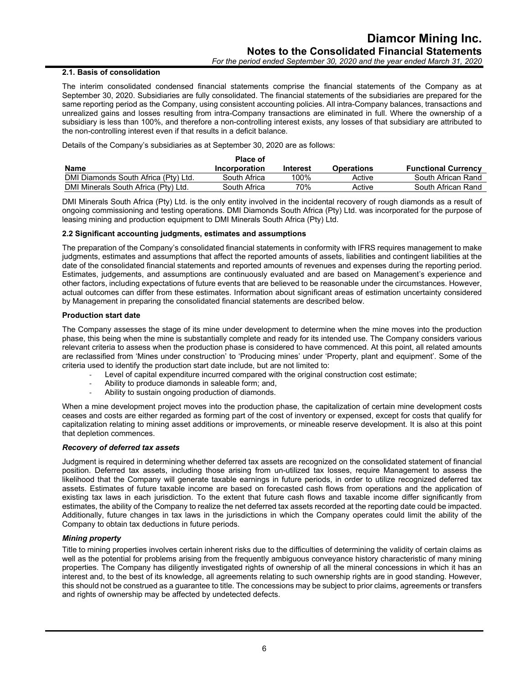#### **2.1. Basis of consolidation**

The interim consolidated condensed financial statements comprise the financial statements of the Company as at September 30, 2020. Subsidiaries are fully consolidated. The financial statements of the subsidiaries are prepared for the same reporting period as the Company, using consistent accounting policies. All intra-Company balances, transactions and unrealized gains and losses resulting from intra-Company transactions are eliminated in full. Where the ownership of a subsidiary is less than 100%, and therefore a non-controlling interest exists, any losses of that subsidiary are attributed to the non-controlling interest even if that results in a deficit balance.

Details of the Company's subsidiaries as at September 30, 2020 are as follows:

|                                      | <b>Place of</b> |          |                   |                            |
|--------------------------------------|-----------------|----------|-------------------|----------------------------|
| Name                                 | Incorporation   | Interest | <b>Operations</b> | <b>Functional Currency</b> |
| DMI Diamonds South Africa (Pty) Ltd. | South Africa    | 100%     | Active            | South African Rand         |
| DMI Minerals South Africa (Pty) Ltd. | South Africa    | 70%      | Active            | South African Rand         |

DMI Minerals South Africa (Pty) Ltd. is the only entity involved in the incidental recovery of rough diamonds as a result of ongoing commissioning and testing operations. DMI Diamonds South Africa (Pty) Ltd. was incorporated for the purpose of leasing mining and production equipment to DMI Minerals South Africa (Pty) Ltd.

# **2.2 Significant accounting judgments, estimates and assumptions**

The preparation of the Company's consolidated financial statements in conformity with IFRS requires management to make judgments, estimates and assumptions that affect the reported amounts of assets, liabilities and contingent liabilities at the date of the consolidated financial statements and reported amounts of revenues and expenses during the reporting period. Estimates, judgements, and assumptions are continuously evaluated and are based on Management's experience and other factors, including expectations of future events that are believed to be reasonable under the circumstances. However, actual outcomes can differ from these estimates. Information about significant areas of estimation uncertainty considered by Management in preparing the consolidated financial statements are described below.

#### **Production start date**

The Company assesses the stage of its mine under development to determine when the mine moves into the production phase, this being when the mine is substantially complete and ready for its intended use. The Company considers various relevant criteria to assess when the production phase is considered to have commenced. At this point, all related amounts are reclassified from 'Mines under construction' to 'Producing mines' under 'Property, plant and equipment'. Some of the criteria used to identify the production start date include, but are not limited to:

- Level of capital expenditure incurred compared with the original construction cost estimate;
- Ability to produce diamonds in saleable form; and,
- Ability to sustain ongoing production of diamonds.

When a mine development project moves into the production phase, the capitalization of certain mine development costs ceases and costs are either regarded as forming part of the cost of inventory or expensed, except for costs that qualify for capitalization relating to mining asset additions or improvements, or mineable reserve development. It is also at this point that depletion commences.

#### *Recovery of deferred tax assets*

Judgment is required in determining whether deferred tax assets are recognized on the consolidated statement of financial position. Deferred tax assets, including those arising from un-utilized tax losses, require Management to assess the likelihood that the Company will generate taxable earnings in future periods, in order to utilize recognized deferred tax assets. Estimates of future taxable income are based on forecasted cash flows from operations and the application of existing tax laws in each jurisdiction. To the extent that future cash flows and taxable income differ significantly from estimates, the ability of the Company to realize the net deferred tax assets recorded at the reporting date could be impacted. Additionally, future changes in tax laws in the jurisdictions in which the Company operates could limit the ability of the Company to obtain tax deductions in future periods.

#### *Mining property*

Title to mining properties involves certain inherent risks due to the difficulties of determining the validity of certain claims as well as the potential for problems arising from the frequently ambiguous conveyance history characteristic of many mining properties. The Company has diligently investigated rights of ownership of all the mineral concessions in which it has an interest and, to the best of its knowledge, all agreements relating to such ownership rights are in good standing. However, this should not be construed as a guarantee to title. The concessions may be subject to prior claims, agreements or transfers and rights of ownership may be affected by undetected defects.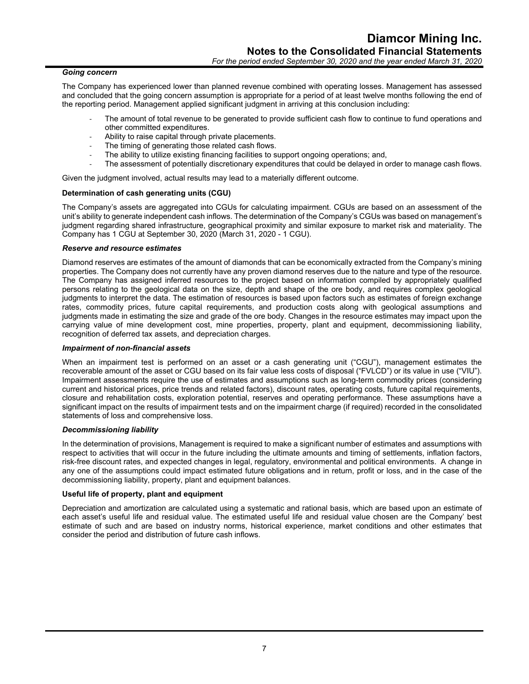#### *Going concern*

The Company has experienced lower than planned revenue combined with operating losses. Management has assessed and concluded that the going concern assumption is appropriate for a period of at least twelve months following the end of the reporting period. Management applied significant judgment in arriving at this conclusion including:

- The amount of total revenue to be generated to provide sufficient cash flow to continue to fund operations and other committed expenditures.
- Ability to raise capital through private placements.
- The timing of generating those related cash flows.
- The ability to utilize existing financing facilities to support ongoing operations; and,
- The assessment of potentially discretionary expenditures that could be delayed in order to manage cash flows.

Given the judgment involved, actual results may lead to a materially different outcome.

#### **Determination of cash generating units (CGU)**

The Company's assets are aggregated into CGUs for calculating impairment. CGUs are based on an assessment of the unit's ability to generate independent cash inflows. The determination of the Company's CGUs was based on management's judgment regarding shared infrastructure, geographical proximity and similar exposure to market risk and materiality. The Company has 1 CGU at September 30, 2020 (March 31, 2020 - 1 CGU).

#### *Reserve and resource estimates*

Diamond reserves are estimates of the amount of diamonds that can be economically extracted from the Company's mining properties. The Company does not currently have any proven diamond reserves due to the nature and type of the resource. The Company has assigned inferred resources to the project based on information compiled by appropriately qualified persons relating to the geological data on the size, depth and shape of the ore body, and requires complex geological judgments to interpret the data. The estimation of resources is based upon factors such as estimates of foreign exchange rates, commodity prices, future capital requirements, and production costs along with geological assumptions and judgments made in estimating the size and grade of the ore body. Changes in the resource estimates may impact upon the carrying value of mine development cost, mine properties, property, plant and equipment, decommissioning liability, recognition of deferred tax assets, and depreciation charges.

#### *Impairment of non-financial assets*

When an impairment test is performed on an asset or a cash generating unit ("CGU"), management estimates the recoverable amount of the asset or CGU based on its fair value less costs of disposal ("FVLCD") or its value in use ("VIU"). Impairment assessments require the use of estimates and assumptions such as long-term commodity prices (considering current and historical prices, price trends and related factors), discount rates, operating costs, future capital requirements, closure and rehabilitation costs, exploration potential, reserves and operating performance. These assumptions have a significant impact on the results of impairment tests and on the impairment charge (if required) recorded in the consolidated statements of loss and comprehensive loss.

#### *Decommissioning liability*

In the determination of provisions, Management is required to make a significant number of estimates and assumptions with respect to activities that will occur in the future including the ultimate amounts and timing of settlements, inflation factors, risk-free discount rates, and expected changes in legal, regulatory, environmental and political environments. A change in any one of the assumptions could impact estimated future obligations and in return, profit or loss, and in the case of the decommissioning liability, property, plant and equipment balances.

#### **Useful life of property, plant and equipment**

Depreciation and amortization are calculated using a systematic and rational basis, which are based upon an estimate of each asset's useful life and residual value. The estimated useful life and residual value chosen are the Company' best estimate of such and are based on industry norms, historical experience, market conditions and other estimates that consider the period and distribution of future cash inflows.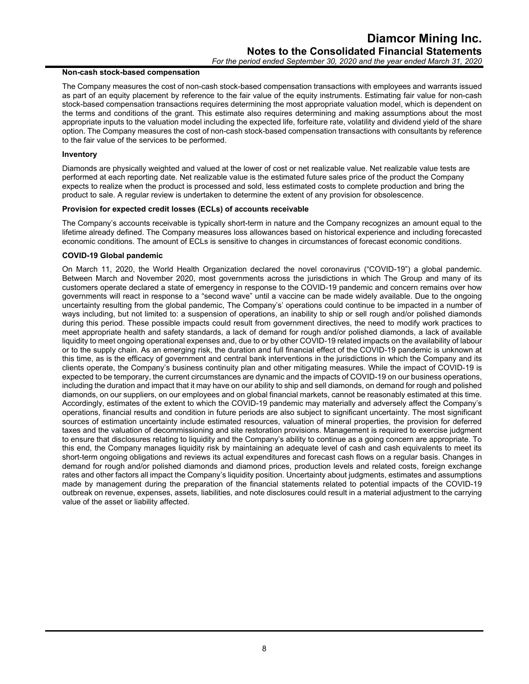#### **Non-cash stock-based compensation**

The Company measures the cost of non-cash stock-based compensation transactions with employees and warrants issued as part of an equity placement by reference to the fair value of the equity instruments. Estimating fair value for non-cash stock-based compensation transactions requires determining the most appropriate valuation model, which is dependent on the terms and conditions of the grant. This estimate also requires determining and making assumptions about the most appropriate inputs to the valuation model including the expected life, forfeiture rate, volatility and dividend yield of the share option. The Company measures the cost of non-cash stock-based compensation transactions with consultants by reference to the fair value of the services to be performed.

#### **Inventory**

Diamonds are physically weighted and valued at the lower of cost or net realizable value. Net realizable value tests are performed at each reporting date. Net realizable value is the estimated future sales price of the product the Company expects to realize when the product is processed and sold, less estimated costs to complete production and bring the product to sale. A regular review is undertaken to determine the extent of any provision for obsolescence.

#### **Provision for expected credit losses (ECLs) of accounts receivable**

The Company's accounts receivable is typically short-term in nature and the Company recognizes an amount equal to the lifetime already defined. The Company measures loss allowances based on historical experience and including forecasted economic conditions. The amount of ECLs is sensitive to changes in circumstances of forecast economic conditions.

## **COVID-19 Global pandemic**

On March 11, 2020, the World Health Organization declared the novel coronavirus ("COVID-19") a global pandemic. Between March and November 2020, most governments across the jurisdictions in which The Group and many of its customers operate declared a state of emergency in response to the COVID-19 pandemic and concern remains over how governments will react in response to a "second wave" until a vaccine can be made widely available. Due to the ongoing uncertainty resulting from the global pandemic, The Company's' operations could continue to be impacted in a number of ways including, but not limited to: a suspension of operations, an inability to ship or sell rough and/or polished diamonds during this period. These possible impacts could result from government directives, the need to modify work practices to meet appropriate health and safety standards, a lack of demand for rough and/or polished diamonds, a lack of available liquidity to meet ongoing operational expenses and, due to or by other COVID-19 related impacts on the availability of labour or to the supply chain. As an emerging risk, the duration and full financial effect of the COVID-19 pandemic is unknown at this time, as is the efficacy of government and central bank interventions in the jurisdictions in which the Company and its clients operate, the Company's business continuity plan and other mitigating measures. While the impact of COVID-19 is expected to be temporary, the current circumstances are dynamic and the impacts of COVID-19 on our business operations, including the duration and impact that it may have on our ability to ship and sell diamonds, on demand for rough and polished diamonds, on our suppliers, on our employees and on global financial markets, cannot be reasonably estimated at this time. Accordingly, estimates of the extent to which the COVID-19 pandemic may materially and adversely affect the Company's operations, financial results and condition in future periods are also subject to significant uncertainty. The most significant sources of estimation uncertainty include estimated resources, valuation of mineral properties, the provision for deferred taxes and the valuation of decommissioning and site restoration provisions. Management is required to exercise judgment to ensure that disclosures relating to liquidity and the Company's ability to continue as a going concern are appropriate. To this end, the Company manages liquidity risk by maintaining an adequate level of cash and cash equivalents to meet its short-term ongoing obligations and reviews its actual expenditures and forecast cash flows on a regular basis. Changes in demand for rough and/or polished diamonds and diamond prices, production levels and related costs, foreign exchange rates and other factors all impact the Company's liquidity position. Uncertainty about judgments, estimates and assumptions made by management during the preparation of the financial statements related to potential impacts of the COVID-19 outbreak on revenue, expenses, assets, liabilities, and note disclosures could result in a material adjustment to the carrying value of the asset or liability affected.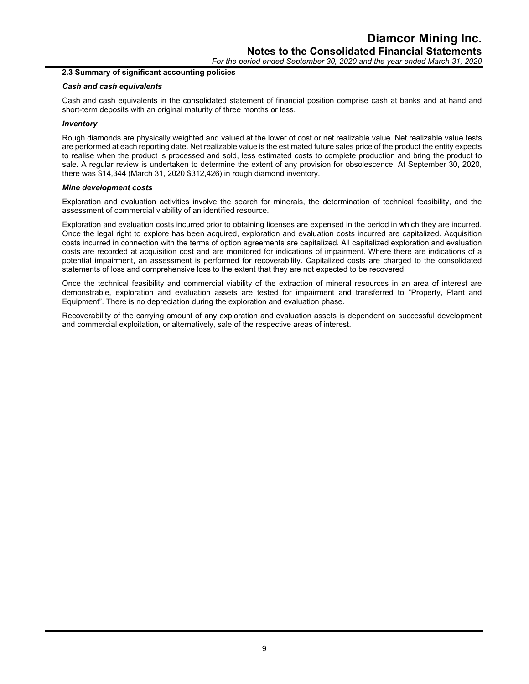*For the period ended September 30, 2020 and the year ended March 31, 2020*

#### **2.3 Summary of significant accounting policies**

#### *Cash and cash equivalents*

Cash and cash equivalents in the consolidated statement of financial position comprise cash at banks and at hand and short-term deposits with an original maturity of three months or less.

#### *Inventory*

Rough diamonds are physically weighted and valued at the lower of cost or net realizable value. Net realizable value tests are performed at each reporting date. Net realizable value is the estimated future sales price of the product the entity expects to realise when the product is processed and sold, less estimated costs to complete production and bring the product to sale. A regular review is undertaken to determine the extent of any provision for obsolescence. At September 30, 2020, there was \$14,344 (March 31, 2020 \$312,426) in rough diamond inventory.

#### *Mine development costs*

Exploration and evaluation activities involve the search for minerals, the determination of technical feasibility, and the assessment of commercial viability of an identified resource.

Exploration and evaluation costs incurred prior to obtaining licenses are expensed in the period in which they are incurred. Once the legal right to explore has been acquired, exploration and evaluation costs incurred are capitalized. Acquisition costs incurred in connection with the terms of option agreements are capitalized. All capitalized exploration and evaluation costs are recorded at acquisition cost and are monitored for indications of impairment. Where there are indications of a potential impairment, an assessment is performed for recoverability. Capitalized costs are charged to the consolidated statements of loss and comprehensive loss to the extent that they are not expected to be recovered.

Once the technical feasibility and commercial viability of the extraction of mineral resources in an area of interest are demonstrable, exploration and evaluation assets are tested for impairment and transferred to "Property, Plant and Equipment". There is no depreciation during the exploration and evaluation phase.

Recoverability of the carrying amount of any exploration and evaluation assets is dependent on successful development and commercial exploitation, or alternatively, sale of the respective areas of interest.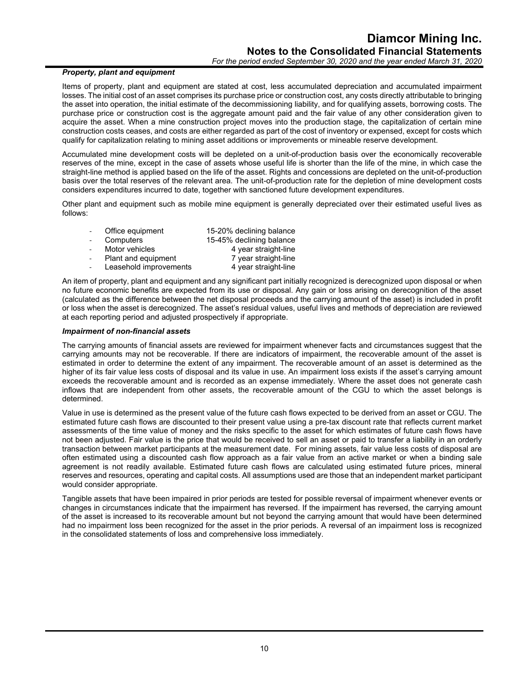# *Property, plant and equipment*

Items of property, plant and equipment are stated at cost, less accumulated depreciation and accumulated impairment losses. The initial cost of an asset comprises its purchase price or construction cost, any costs directly attributable to bringing the asset into operation, the initial estimate of the decommissioning liability, and for qualifying assets, borrowing costs. The purchase price or construction cost is the aggregate amount paid and the fair value of any other consideration given to acquire the asset. When a mine construction project moves into the production stage, the capitalization of certain mine construction costs ceases, and costs are either regarded as part of the cost of inventory or expensed, except for costs which qualify for capitalization relating to mining asset additions or improvements or mineable reserve development.

Accumulated mine development costs will be depleted on a unit-of-production basis over the economically recoverable reserves of the mine, except in the case of assets whose useful life is shorter than the life of the mine, in which case the straight-line method is applied based on the life of the asset. Rights and concessions are depleted on the unit-of-production basis over the total reserves of the relevant area. The unit-of-production rate for the depletion of mine development costs considers expenditures incurred to date, together with sanctioned future development expenditures.

Other plant and equipment such as mobile mine equipment is generally depreciated over their estimated useful lives as follows:

| Office equipment       | 15-20% declining balance |
|------------------------|--------------------------|
| Computers              | 15-45% declining balance |
| Motor vehicles         | 4 year straight-line     |
| Plant and equipment    | 7 year straight-line     |
| Leasehold improvements | 4 year straight-line     |

An item of property, plant and equipment and any significant part initially recognized is derecognized upon disposal or when no future economic benefits are expected from its use or disposal. Any gain or loss arising on derecognition of the asset (calculated as the difference between the net disposal proceeds and the carrying amount of the asset) is included in profit or loss when the asset is derecognized. The asset's residual values, useful lives and methods of depreciation are reviewed at each reporting period and adjusted prospectively if appropriate.

#### *Impairment of non-financial assets*

The carrying amounts of financial assets are reviewed for impairment whenever facts and circumstances suggest that the carrying amounts may not be recoverable. If there are indicators of impairment, the recoverable amount of the asset is estimated in order to determine the extent of any impairment. The recoverable amount of an asset is determined as the higher of its fair value less costs of disposal and its value in use. An impairment loss exists if the asset's carrying amount exceeds the recoverable amount and is recorded as an expense immediately. Where the asset does not generate cash inflows that are independent from other assets, the recoverable amount of the CGU to which the asset belongs is determined.

Value in use is determined as the present value of the future cash flows expected to be derived from an asset or CGU. The estimated future cash flows are discounted to their present value using a pre-tax discount rate that reflects current market assessments of the time value of money and the risks specific to the asset for which estimates of future cash flows have not been adjusted. Fair value is the price that would be received to sell an asset or paid to transfer a liability in an orderly transaction between market participants at the measurement date. For mining assets, fair value less costs of disposal are often estimated using a discounted cash flow approach as a fair value from an active market or when a binding sale agreement is not readily available. Estimated future cash flows are calculated using estimated future prices, mineral reserves and resources, operating and capital costs. All assumptions used are those that an independent market participant would consider appropriate.

Tangible assets that have been impaired in prior periods are tested for possible reversal of impairment whenever events or changes in circumstances indicate that the impairment has reversed. If the impairment has reversed, the carrying amount of the asset is increased to its recoverable amount but not beyond the carrying amount that would have been determined had no impairment loss been recognized for the asset in the prior periods. A reversal of an impairment loss is recognized in the consolidated statements of loss and comprehensive loss immediately.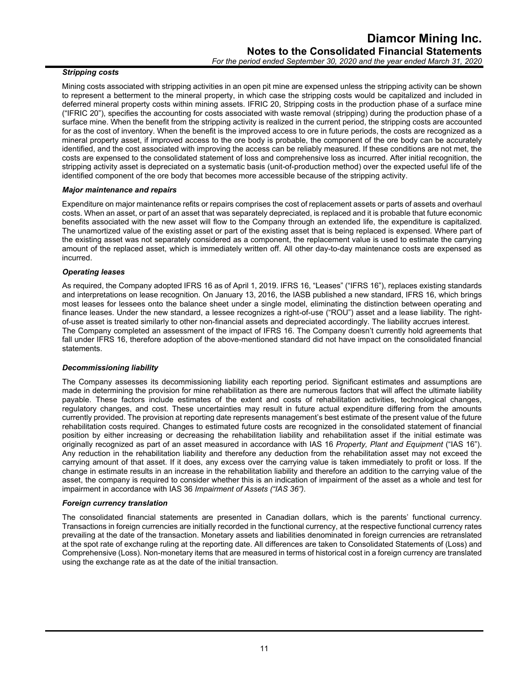#### *Stripping costs*

Mining costs associated with stripping activities in an open pit mine are expensed unless the stripping activity can be shown to represent a betterment to the mineral property, in which case the stripping costs would be capitalized and included in deferred mineral property costs within mining assets. IFRIC 20, Stripping costs in the production phase of a surface mine ("IFRIC 20"), specifies the accounting for costs associated with waste removal (stripping) during the production phase of a surface mine. When the benefit from the stripping activity is realized in the current period, the stripping costs are accounted for as the cost of inventory. When the benefit is the improved access to ore in future periods, the costs are recognized as a mineral property asset, if improved access to the ore body is probable, the component of the ore body can be accurately identified, and the cost associated with improving the access can be reliably measured. If these conditions are not met, the costs are expensed to the consolidated statement of loss and comprehensive loss as incurred. After initial recognition, the stripping activity asset is depreciated on a systematic basis (unit-of-production method) over the expected useful life of the identified component of the ore body that becomes more accessible because of the stripping activity.

#### *Major maintenance and repairs*

Expenditure on major maintenance refits or repairs comprises the cost of replacement assets or parts of assets and overhaul costs. When an asset, or part of an asset that was separately depreciated, is replaced and it is probable that future economic benefits associated with the new asset will flow to the Company through an extended life, the expenditure is capitalized. The unamortized value of the existing asset or part of the existing asset that is being replaced is expensed. Where part of the existing asset was not separately considered as a component, the replacement value is used to estimate the carrying amount of the replaced asset, which is immediately written off. All other day-to-day maintenance costs are expensed as incurred.

#### *Operating leases*

As required, the Company adopted IFRS 16 as of April 1, 2019. IFRS 16, "Leases" ("IFRS 16"), replaces existing standards and interpretations on lease recognition. On January 13, 2016, the IASB published a new standard, IFRS 16, which brings most leases for lessees onto the balance sheet under a single model, eliminating the distinction between operating and finance leases. Under the new standard, a lessee recognizes a right-of-use ("ROU") asset and a lease liability. The rightof-use asset is treated similarly to other non-financial assets and depreciated accordingly. The liability accrues interest. The Company completed an assessment of the impact of IFRS 16. The Company doesn't currently hold agreements that fall under IFRS 16, therefore adoption of the above-mentioned standard did not have impact on the consolidated financial statements.

#### *Decommissioning liability*

The Company assesses its decommissioning liability each reporting period. Significant estimates and assumptions are made in determining the provision for mine rehabilitation as there are numerous factors that will affect the ultimate liability payable. These factors include estimates of the extent and costs of rehabilitation activities, technological changes, regulatory changes, and cost. These uncertainties may result in future actual expenditure differing from the amounts currently provided. The provision at reporting date represents management's best estimate of the present value of the future rehabilitation costs required. Changes to estimated future costs are recognized in the consolidated statement of financial position by either increasing or decreasing the rehabilitation liability and rehabilitation asset if the initial estimate was originally recognized as part of an asset measured in accordance with IAS 16 *Property, Plant and Equipment* ("IAS 16"). Any reduction in the rehabilitation liability and therefore any deduction from the rehabilitation asset may not exceed the carrying amount of that asset. If it does, any excess over the carrying value is taken immediately to profit or loss. If the change in estimate results in an increase in the rehabilitation liability and therefore an addition to the carrying value of the asset, the company is required to consider whether this is an indication of impairment of the asset as a whole and test for impairment in accordance with IAS 36 *Impairment of Assets ("IAS 36")*.

#### *Foreign currency translation*

The consolidated financial statements are presented in Canadian dollars, which is the parents' functional currency. Transactions in foreign currencies are initially recorded in the functional currency, at the respective functional currency rates prevailing at the date of the transaction. Monetary assets and liabilities denominated in foreign currencies are retranslated at the spot rate of exchange ruling at the reporting date. All differences are taken to Consolidated Statements of (Loss) and Comprehensive (Loss). Non-monetary items that are measured in terms of historical cost in a foreign currency are translated using the exchange rate as at the date of the initial transaction.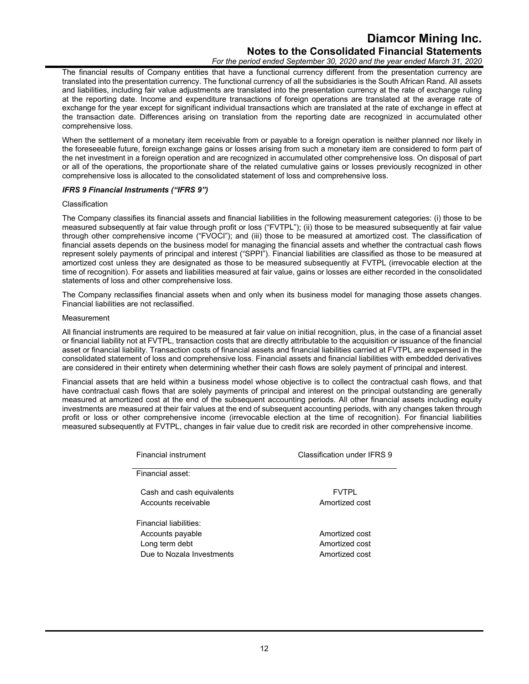# **Diamcor Mining Inc. Notes to the Consolidated Financial Statements**

*For the period ended September 30, 2020 and the year ended March 31, 2020*

The financial results of Company entities that have a functional currency different from the presentation currency are translated into the presentation currency. The functional currency of all the subsidiaries is the South African Rand. All assets and liabilities, including fair value adjustments are translated into the presentation currency at the rate of exchange ruling at the reporting date. Income and expenditure transactions of foreign operations are translated at the average rate of exchange for the year except for significant individual transactions which are translated at the rate of exchange in effect at the transaction date. Differences arising on translation from the reporting date are recognized in accumulated other comprehensive loss.

When the settlement of a monetary item receivable from or payable to a foreign operation is neither planned nor likely in the foreseeable future, foreign exchange gains or losses arising from such a monetary item are considered to form part of the net investment in a foreign operation and are recognized in accumulated other comprehensive loss. On disposal of part or all of the operations, the proportionate share of the related cumulative gains or losses previously recognized in other comprehensive loss is allocated to the consolidated statement of loss and comprehensive loss.

#### *IFRS 9 Financial Instruments ("IFRS 9")*

#### Classification

The Company classifies its financial assets and financial liabilities in the following measurement categories: (i) those to be measured subsequently at fair value through profit or loss ("FVTPL"); (ii) those to be measured subsequently at fair value through other comprehensive income ("FVOCI"); and (iii) those to be measured at amortized cost. The classification of financial assets depends on the business model for managing the financial assets and whether the contractual cash flows represent solely payments of principal and interest ("SPPI"). Financial liabilities are classified as those to be measured at amortized cost unless they are designated as those to be measured subsequently at FVTPL (irrevocable election at the time of recognition). For assets and liabilities measured at fair value, gains or losses are either recorded in the consolidated statements of loss and other comprehensive loss.

The Company reclassifies financial assets when and only when its business model for managing those assets changes. Financial liabilities are not reclassified.

#### Measurement

All financial instruments are required to be measured at fair value on initial recognition, plus, in the case of a financial asset or financial liability not at FVTPL, transaction costs that are directly attributable to the acquisition or issuance of the financial asset or financial liability. Transaction costs of financial assets and financial liabilities carried at FVTPL are expensed in the consolidated statement of loss and comprehensive loss. Financial assets and financial liabilities with embedded derivatives are considered in their entirety when determining whether their cash flows are solely payment of principal and interest.

Financial assets that are held within a business model whose objective is to collect the contractual cash flows, and that have contractual cash flows that are solely payments of principal and interest on the principal outstanding are generally measured at amortized cost at the end of the subsequent accounting periods. All other financial assets including equity investments are measured at their fair values at the end of subsequent accounting periods, with any changes taken through profit or loss or other comprehensive income (irrevocable election at the time of recognition). For financial liabilities measured subsequently at FVTPL, changes in fair value due to credit risk are recorded in other comprehensive income.

| <b>Financial instrument</b>                                                               | Classification under IFRS 9                        |  |  |
|-------------------------------------------------------------------------------------------|----------------------------------------------------|--|--|
| Financial asset:                                                                          |                                                    |  |  |
| Cash and cash equivalents<br>Accounts receivable                                          | <b>FVTPI</b><br>Amortized cost                     |  |  |
| Financial liabilities:<br>Accounts payable<br>Long term debt<br>Due to Nozala Investments | Amortized cost<br>Amortized cost<br>Amortized cost |  |  |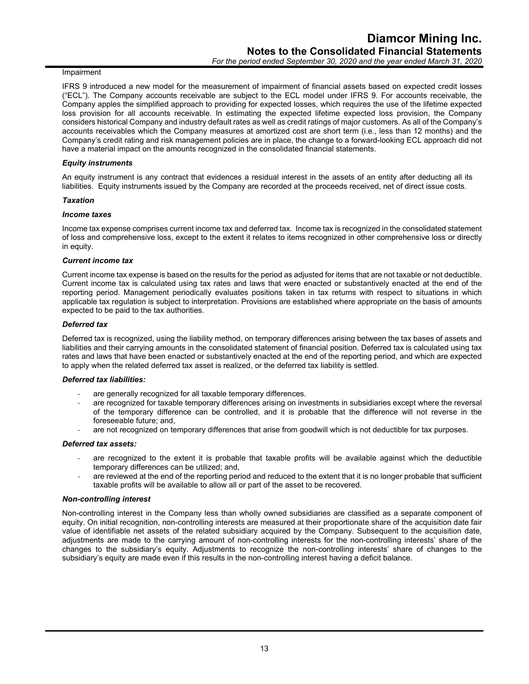#### Impairment

IFRS 9 introduced a new model for the measurement of impairment of financial assets based on expected credit losses ("ECL"). The Company accounts receivable are subject to the ECL model under IFRS 9. For accounts receivable, the Company apples the simplified approach to providing for expected losses, which requires the use of the lifetime expected loss provision for all accounts receivable. In estimating the expected lifetime expected loss provision, the Company considers historical Company and industry default rates as well as credit ratings of major customers. As all of the Company's accounts receivables which the Company measures at amortized cost are short term (i.e., less than 12 months) and the Company's credit rating and risk management policies are in place, the change to a forward-looking ECL approach did not have a material impact on the amounts recognized in the consolidated financial statements.

#### *Equity instruments*

An equity instrument is any contract that evidences a residual interest in the assets of an entity after deducting all its liabilities. Equity instruments issued by the Company are recorded at the proceeds received, net of direct issue costs.

#### *Taxation*

#### *Income taxes*

Income tax expense comprises current income tax and deferred tax. Income tax is recognized in the consolidated statement of loss and comprehensive loss, except to the extent it relates to items recognized in other comprehensive loss or directly in equity.

#### *Current income tax*

Current income tax expense is based on the results for the period as adjusted for items that are not taxable or not deductible. Current income tax is calculated using tax rates and laws that were enacted or substantively enacted at the end of the reporting period. Management periodically evaluates positions taken in tax returns with respect to situations in which applicable tax regulation is subject to interpretation. Provisions are established where appropriate on the basis of amounts expected to be paid to the tax authorities.

#### *Deferred tax*

Deferred tax is recognized, using the liability method, on temporary differences arising between the tax bases of assets and liabilities and their carrying amounts in the consolidated statement of financial position. Deferred tax is calculated using tax rates and laws that have been enacted or substantively enacted at the end of the reporting period, and which are expected to apply when the related deferred tax asset is realized, or the deferred tax liability is settled.

#### *Deferred tax liabilities:*

- are generally recognized for all taxable temporary differences.
- are recognized for taxable temporary differences arising on investments in subsidiaries except where the reversal of the temporary difference can be controlled, and it is probable that the difference will not reverse in the foreseeable future; and,
- are not recognized on temporary differences that arise from goodwill which is not deductible for tax purposes.

#### *Deferred tax assets:*

- are recognized to the extent it is probable that taxable profits will be available against which the deductible temporary differences can be utilized; and,
- are reviewed at the end of the reporting period and reduced to the extent that it is no longer probable that sufficient taxable profits will be available to allow all or part of the asset to be recovered.

#### *Non-controlling interest*

Non-controlling interest in the Company less than wholly owned subsidiaries are classified as a separate component of equity. On initial recognition, non-controlling interests are measured at their proportionate share of the acquisition date fair value of identifiable net assets of the related subsidiary acquired by the Company. Subsequent to the acquisition date, adjustments are made to the carrying amount of non-controlling interests for the non-controlling interests' share of the changes to the subsidiary's equity. Adjustments to recognize the non-controlling interests' share of changes to the subsidiary's equity are made even if this results in the non-controlling interest having a deficit balance.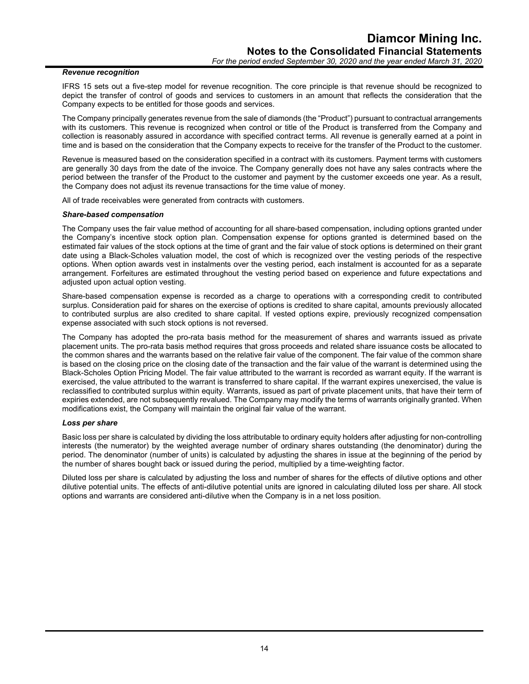#### *Revenue recognition*

IFRS 15 sets out a five-step model for revenue recognition. The core principle is that revenue should be recognized to depict the transfer of control of goods and services to customers in an amount that reflects the consideration that the Company expects to be entitled for those goods and services.

The Company principally generates revenue from the sale of diamonds (the "Product") pursuant to contractual arrangements with its customers. This revenue is recognized when control or title of the Product is transferred from the Company and collection is reasonably assured in accordance with specified contract terms. All revenue is generally earned at a point in time and is based on the consideration that the Company expects to receive for the transfer of the Product to the customer.

Revenue is measured based on the consideration specified in a contract with its customers. Payment terms with customers are generally 30 days from the date of the invoice. The Company generally does not have any sales contracts where the period between the transfer of the Product to the customer and payment by the customer exceeds one year. As a result, the Company does not adjust its revenue transactions for the time value of money.

All of trade receivables were generated from contracts with customers.

#### *Share-based compensation*

The Company uses the fair value method of accounting for all share-based compensation, including options granted under the Company's incentive stock option plan. Compensation expense for options granted is determined based on the estimated fair values of the stock options at the time of grant and the fair value of stock options is determined on their grant date using a Black-Scholes valuation model, the cost of which is recognized over the vesting periods of the respective options. When option awards vest in instalments over the vesting period, each instalment is accounted for as a separate arrangement. Forfeitures are estimated throughout the vesting period based on experience and future expectations and adiusted upon actual option vesting.

Share-based compensation expense is recorded as a charge to operations with a corresponding credit to contributed surplus. Consideration paid for shares on the exercise of options is credited to share capital, amounts previously allocated to contributed surplus are also credited to share capital. If vested options expire, previously recognized compensation expense associated with such stock options is not reversed.

The Company has adopted the pro-rata basis method for the measurement of shares and warrants issued as private placement units. The pro-rata basis method requires that gross proceeds and related share issuance costs be allocated to the common shares and the warrants based on the relative fair value of the component. The fair value of the common share is based on the closing price on the closing date of the transaction and the fair value of the warrant is determined using the Black-Scholes Option Pricing Model. The fair value attributed to the warrant is recorded as warrant equity. If the warrant is exercised, the value attributed to the warrant is transferred to share capital. If the warrant expires unexercised, the value is reclassified to contributed surplus within equity. Warrants, issued as part of private placement units, that have their term of expiries extended, are not subsequently revalued. The Company may modify the terms of warrants originally granted. When modifications exist, the Company will maintain the original fair value of the warrant.

#### *Loss per share*

Basic loss per share is calculated by dividing the loss attributable to ordinary equity holders after adjusting for non-controlling interests (the numerator) by the weighted average number of ordinary shares outstanding (the denominator) during the period. The denominator (number of units) is calculated by adjusting the shares in issue at the beginning of the period by the number of shares bought back or issued during the period, multiplied by a time-weighting factor.

Diluted loss per share is calculated by adjusting the loss and number of shares for the effects of dilutive options and other dilutive potential units. The effects of anti-dilutive potential units are ignored in calculating diluted loss per share. All stock options and warrants are considered anti-dilutive when the Company is in a net loss position.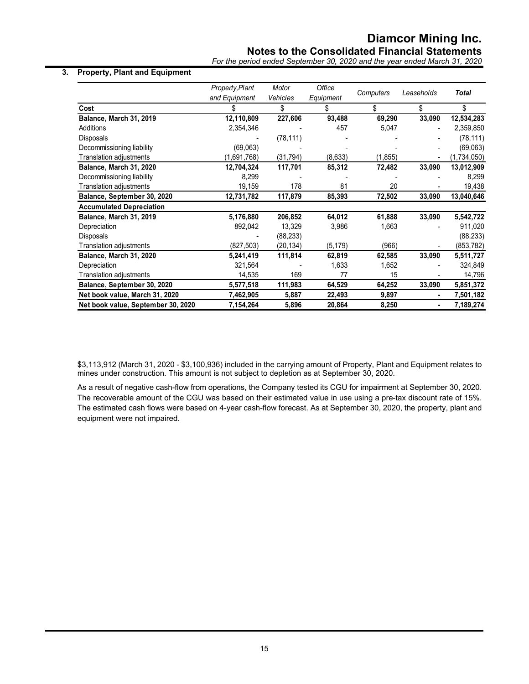# **Notes to the Consolidated Financial Statements**

*For the period ended September 30, 2020 and the year ended March 31, 2020*

## **3. Property, Plant and Equipment**

|                                    | Property, Plant<br>and Equipment | Motor<br><b>Vehicles</b> | Office          | Computers | Leaseholds     | <b>Total</b> |
|------------------------------------|----------------------------------|--------------------------|-----------------|-----------|----------------|--------------|
| Cost                               |                                  | \$                       | Equipment<br>\$ | \$        | \$             | \$           |
|                                    |                                  |                          |                 |           |                |              |
| Balance, March 31, 2019            | 12,110,809                       | 227,606                  | 93,488          | 69,290    | 33,090         | 12,534,283   |
| Additions                          | 2,354,346                        |                          | 457             | 5,047     | $\blacksquare$ | 2,359,850    |
| Disposals                          |                                  | (78, 111)                |                 |           |                | (78, 111)    |
| Decommissioning liability          | (69,063)                         |                          |                 |           |                | (69,063)     |
| Translation adjustments            | (1,691,768)                      | (31, 794)                | (8,633)         | (1, 855)  |                | (1,734,050)  |
| Balance, March 31, 2020            | 12,704,324                       | 117,701                  | 85,312          | 72,482    | 33,090         | 13,012,909   |
| Decommissioning liability          | 8,299                            |                          |                 |           |                | 8,299        |
| Translation adjustments            | 19,159                           | 178                      | 81              | 20        |                | 19,438       |
| Balance, September 30, 2020        | 12,731,782                       | 117,879                  | 85,393          | 72,502    | 33,090         | 13,040,646   |
| <b>Accumulated Depreciation</b>    |                                  |                          |                 |           |                |              |
| Balance, March 31, 2019            | 5,176,880                        | 206,852                  | 64,012          | 61,888    | 33,090         | 5,542,722    |
| Depreciation                       | 892,042                          | 13,329                   | 3,986           | 1,663     |                | 911,020      |
| Disposals                          |                                  | (88, 233)                |                 |           |                | (88, 233)    |
| Translation adjustments            | (827, 503)                       | (20,134)                 | (5, 179)        | (966)     |                | (853, 782)   |
| Balance, March 31, 2020            | 5,241,419                        | 111,814                  | 62,819          | 62,585    | 33,090         | 5,511,727    |
| Depreciation                       | 321,564                          |                          | 1,633           | 1,652     |                | 324,849      |
| Translation adjustments            | 14,535                           | 169                      | 77              | 15        |                | 14,796       |
| Balance, September 30, 2020        | 5,577,518                        | 111,983                  | 64,529          | 64,252    | 33,090         | 5,851,372    |
| Net book value, March 31, 2020     | 7,462,905                        | 5,887                    | 22,493          | 9,897     | ٠              | 7,501,182    |
| Net book value, September 30, 2020 | 7,154,264                        | 5,896                    | 20,864          | 8,250     |                | 7,189,274    |

\$3,113,912 (March 31, 2020 - \$3,100,936) included in the carrying amount of Property, Plant and Equipment relates to mines under construction. This amount is not subject to depletion as at September 30, 2020.

As a result of negative cash-flow from operations, the Company tested its CGU for impairment at September 30, 2020. The recoverable amount of the CGU was based on their estimated value in use using a pre-tax discount rate of 15%. The estimated cash flows were based on 4-year cash-flow forecast. As at September 30, 2020, the property, plant and equipment were not impaired.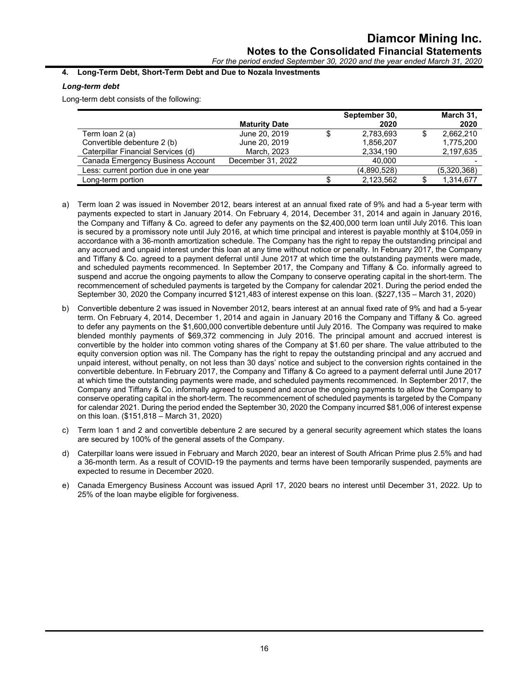# **4. Long-Term Debt, Short-Term Debt and Due to Nozala Investments**

# *Long-term debt*

Long-term debt consists of the following:

|                                       | <b>Maturity Date</b> | September 30,<br>2020 |   | March 31,<br>2020 |
|---------------------------------------|----------------------|-----------------------|---|-------------------|
| Term Ioan 2 (a)                       | June 20, 2019        | \$<br>2,783,693       | S | 2,662,210         |
| Convertible debenture 2 (b)           | June 20, 2019        | 1,856,207             |   | 1,775,200         |
| Caterpillar Financial Services (d)    | March, 2023          | 2,334,190             |   | 2,197,635         |
| Canada Emergency Business Account     | December 31, 2022    | 40.000                |   |                   |
| Less: current portion due in one year |                      | (4,890,528)           |   | (5,320,368)       |
| Long-term portion                     |                      | 2,123,562             |   | 1,314,677         |

- a) Term loan 2 was issued in November 2012, bears interest at an annual fixed rate of 9% and had a 5-year term with payments expected to start in January 2014. On February 4, 2014, December 31, 2014 and again in January 2016, the Company and Tiffany & Co. agreed to defer any payments on the \$2,400,000 term loan until July 2016. This loan is secured by a promissory note until July 2016, at which time principal and interest is payable monthly at \$104,059 in accordance with a 36-month amortization schedule. The Company has the right to repay the outstanding principal and any accrued and unpaid interest under this loan at any time without notice or penalty. In February 2017, the Company and Tiffany & Co. agreed to a payment deferral until June 2017 at which time the outstanding payments were made, and scheduled payments recommenced. In September 2017, the Company and Tiffany & Co. informally agreed to suspend and accrue the ongoing payments to allow the Company to conserve operating capital in the short-term. The recommencement of scheduled payments is targeted by the Company for calendar 2021. During the period ended the September 30, 2020 the Company incurred \$121,483 of interest expense on this loan. (\$227,135 – March 31, 2020)
- b) Convertible debenture 2 was issued in November 2012, bears interest at an annual fixed rate of 9% and had a 5-year term. On February 4, 2014, December 1, 2014 and again in January 2016 the Company and Tiffany & Co. agreed to defer any payments on the \$1,600,000 convertible debenture until July 2016. The Company was required to make blended monthly payments of \$69,372 commencing in July 2016. The principal amount and accrued interest is convertible by the holder into common voting shares of the Company at \$1.60 per share. The value attributed to the equity conversion option was nil. The Company has the right to repay the outstanding principal and any accrued and unpaid interest, without penalty, on not less than 30 days' notice and subject to the conversion rights contained in the convertible debenture. In February 2017, the Company and Tiffany & Co agreed to a payment deferral until June 2017 at which time the outstanding payments were made, and scheduled payments recommenced. In September 2017, the Company and Tiffany & Co. informally agreed to suspend and accrue the ongoing payments to allow the Company to conserve operating capital in the short-term. The recommencement of scheduled payments is targeted by the Company for calendar 2021. During the period ended the September 30, 2020 the Company incurred \$81,006 of interest expense on this loan. (\$151,818 – March 31, 2020)
- c) Term loan 1 and 2 and convertible debenture 2 are secured by a general security agreement which states the loans are secured by 100% of the general assets of the Company.
- d) Caterpillar loans were issued in February and March 2020, bear an interest of South African Prime plus 2.5% and had a 36-month term. As a result of COVID-19 the payments and terms have been temporarily suspended, payments are expected to resume in December 2020.
- e) Canada Emergency Business Account was issued April 17, 2020 bears no interest until December 31, 2022. Up to 25% of the loan maybe eligible for forgiveness.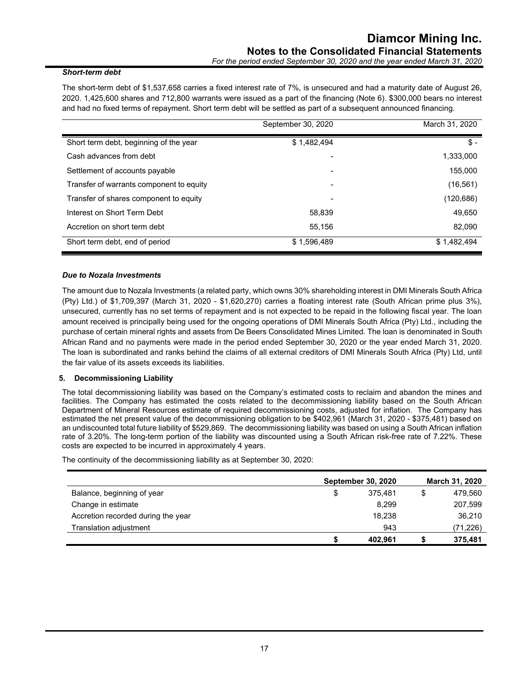#### *Short-term debt*

The short-term debt of \$1,537,658 carries a fixed interest rate of 7%, is unsecured and had a maturity date of August 26, 2020. 1,425,600 shares and 712,800 warrants were issued as a part of the financing (Note 6). \$300,000 bears no interest and had no fixed terms of repayment. Short term debt will be settled as part of a subsequent announced financing.

|                                          | September 30, 2020 | March 31, 2020 |
|------------------------------------------|--------------------|----------------|
| Short term debt, beginning of the year   | \$1,482,494        | $$ -$          |
| Cash advances from debt                  |                    | 1,333,000      |
| Settlement of accounts payable           |                    | 155,000        |
| Transfer of warrants component to equity | -                  | (16, 561)      |
| Transfer of shares component to equity   |                    | (120, 686)     |
| Interest on Short Term Debt              | 58.839             | 49.650         |
| Accretion on short term debt             | 55.156             | 82,090         |
| Short term debt, end of period           | \$1,596,489        | \$1,482,494    |

#### *Due to Nozala Investments*

The amount due to Nozala Investments (a related party, which owns 30% shareholding interest in DMI Minerals South Africa (Pty) Ltd.) of \$1,709,397 (March 31, 2020 - \$1,620,270) carries a floating interest rate (South African prime plus 3%), unsecured, currently has no set terms of repayment and is not expected to be repaid in the following fiscal year. The loan amount received is principally being used for the ongoing operations of DMI Minerals South Africa (Pty) Ltd., including the purchase of certain mineral rights and assets from De Beers Consolidated Mines Limited. The loan is denominated in South African Rand and no payments were made in the period ended September 30, 2020 or the year ended March 31, 2020. The loan is subordinated and ranks behind the claims of all external creditors of DMI Minerals South Africa (Pty) Ltd, until the fair value of its assets exceeds its liabilities.

# **5. Decommissioning Liability**

The total decommissioning liability was based on the Company's estimated costs to reclaim and abandon the mines and facilities. The Company has estimated the costs related to the decommissioning liability based on the South African Department of Mineral Resources estimate of required decommissioning costs, adjusted for inflation. The Company has estimated the net present value of the decommissioning obligation to be \$402,961 (March 31, 2020 - \$375,481) based on an undiscounted total future liability of \$529,869. The decommissioning liability was based on using a South African inflation rate of 3.20%. The long-term portion of the liability was discounted using a South African risk-free rate of 7.22%. These costs are expected to be incurred in approximately 4 years.

The continuity of the decommissioning liability as at September 30, 2020:

|                                    | <b>September 30, 2020</b> |   | <b>March 31, 2020</b> |
|------------------------------------|---------------------------|---|-----------------------|
| Balance, beginning of year         | \$<br>375.481             | S | 479,560               |
| Change in estimate                 | 8.299                     |   | 207,599               |
| Accretion recorded during the year | 18.238                    |   | 36,210                |
| Translation adiustment             | 943                       |   | (71,226)              |
|                                    | 402.961                   |   | 375,481               |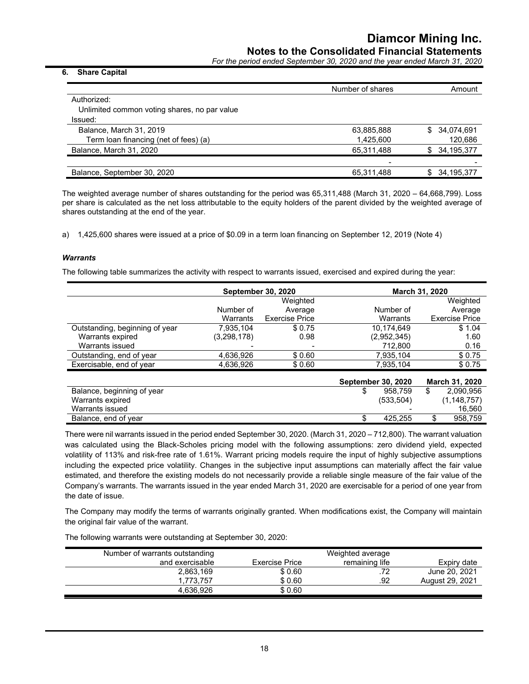*For the period ended September 30, 2020 and the year ended March 31, 2020*

#### **6. Share Capital**

|                                              | Number of shares | Amount            |
|----------------------------------------------|------------------|-------------------|
| Authorized:                                  |                  |                   |
| Unlimited common voting shares, no par value |                  |                   |
| Issued:                                      |                  |                   |
| Balance, March 31, 2019                      | 63,885,888       | 34,074,691<br>\$. |
| Term loan financing (net of fees) (a)        | 1,425,600        | 120,686           |
| Balance, March 31, 2020                      | 65,311,488       | 34,195,377<br>\$. |
|                                              |                  |                   |
| Balance, September 30, 2020                  | 65,311,488       | 34,195,377        |
|                                              |                  |                   |

The weighted average number of shares outstanding for the period was 65,311,488 (March 31, 2020 – 64,668,799). Loss per share is calculated as the net loss attributable to the equity holders of the parent divided by the weighted average of shares outstanding at the end of the year.

a) 1,425,600 shares were issued at a price of \$0.09 in a term loan financing on September 12, 2019 (Note 4)

#### *Warrants*

The following table summarizes the activity with respect to warrants issued, exercised and expired during the year:

|                                |               | <b>September 30, 2020</b> |             | <b>March 31, 2020</b> |
|--------------------------------|---------------|---------------------------|-------------|-----------------------|
|                                |               | Weighted                  |             | Weighted              |
|                                | Number of     | Average                   | Number of   | Average               |
|                                | Warrants      | <b>Exercise Price</b>     | Warrants    | <b>Exercise Price</b> |
| Outstanding, beginning of year | 7.935.104     | \$0.75                    | 10.174.649  | \$1.04                |
| Warrants expired               | (3, 298, 178) | 0.98                      | (2,952,345) | 1.60                  |
| Warrants issued                |               |                           | 712,800     | 0.16                  |
| Outstanding, end of year       | 4,636,926     | \$0.60                    | 7,935,104   | \$0.75                |
| Exercisable, end of year       | 4,636,926     | \$0.60                    | 7,935,104   | \$0.75                |

|                            | <b>September 30, 2020</b> |            |  | March 31, 2020 |  |  |
|----------------------------|---------------------------|------------|--|----------------|--|--|
| Balance, beginning of year |                           | 958.759    |  | 2.090.956      |  |  |
| Warrants expired           |                           | (533, 504) |  | (1, 148, 757)  |  |  |
| Warrants issued            |                           |            |  | 16.560         |  |  |
| Balance, end of year       |                           | 425.255    |  | 958.759        |  |  |

There were nil warrants issued in the period ended September 30, 2020. (March 31, 2020 – 712,800). The warrant valuation was calculated using the Black-Scholes pricing model with the following assumptions: zero dividend yield, expected volatility of 113% and risk-free rate of 1.61%. Warrant pricing models require the input of highly subjective assumptions including the expected price volatility. Changes in the subjective input assumptions can materially affect the fair value estimated, and therefore the existing models do not necessarily provide a reliable single measure of the fair value of the Company's warrants. The warrants issued in the year ended March 31, 2020 are exercisable for a period of one year from the date of issue.

The Company may modify the terms of warrants originally granted. When modifications exist, the Company will maintain the original fair value of the warrant.

The following warrants were outstanding at September 30, 2020:

| Number of warrants outstanding |                | Weighted average |                 |
|--------------------------------|----------------|------------------|-----------------|
| and exercisable                | Exercise Price | remaining life   | Expiry date     |
| 2,863,169                      | \$0.60         | .72              | June 20, 2021   |
| 1.773.757                      | \$0.60         | .92              | August 29, 2021 |
| 4.636.926                      | \$ 0.60        |                  |                 |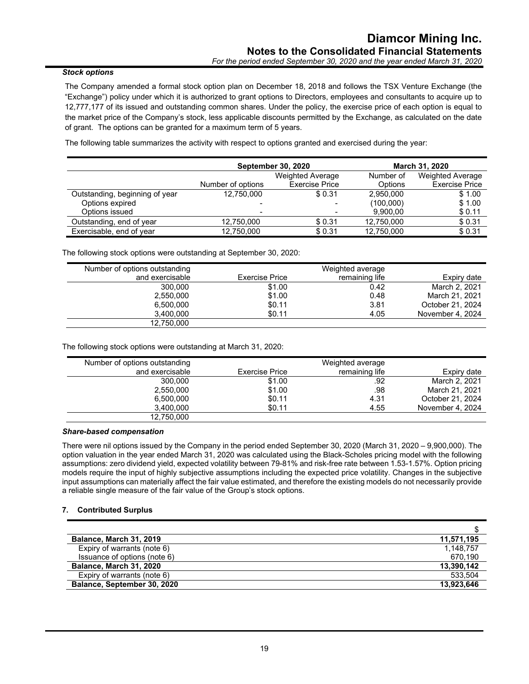# *Stock options*

The Company amended a formal stock option plan on December 18, 2018 and follows the TSX Venture Exchange (the "Exchange") policy under which it is authorized to grant options to Directors, employees and consultants to acquire up to 12,777,177 of its issued and outstanding common shares. Under the policy, the exercise price of each option is equal to the market price of the Company's stock, less applicable discounts permitted by the Exchange, as calculated on the date of grant. The options can be granted for a maximum term of 5 years.

The following table summarizes the activity with respect to options granted and exercised during the year:

|                                |                          | <b>September 30, 2020</b> |            | <b>March 31, 2020</b>   |
|--------------------------------|--------------------------|---------------------------|------------|-------------------------|
|                                |                          | <b>Weighted Average</b>   | Number of  | <b>Weighted Average</b> |
|                                | Number of options        | <b>Exercise Price</b>     | Options    | <b>Exercise Price</b>   |
| Outstanding, beginning of year | 12,750,000               | \$0.31                    | 2.950.000  | \$1.00                  |
| Options expired                |                          |                           | (100,000)  | \$1.00                  |
| Options issued                 | $\overline{\phantom{0}}$ |                           | 9,900,00   | \$0.11                  |
| Outstanding, end of year       | 12,750,000               | \$0.31                    | 12,750,000 | \$0.31                  |
| Exercisable, end of year       | 12,750,000               | \$0.31                    | 12,750,000 | \$0.31                  |

The following stock options were outstanding at September 30, 2020:

| Number of options outstanding |                | Weighted average |                  |
|-------------------------------|----------------|------------------|------------------|
| and exercisable               | Exercise Price | remaining life   | Expiry date      |
| 300,000                       | \$1.00         | 0.42             | March 2, 2021    |
| 2,550,000                     | \$1.00         | 0.48             | March 21, 2021   |
| 6,500,000                     | \$0.11         | 3.81             | October 21, 2024 |
| 3,400,000                     | \$0.11         | 4.05             | November 4, 2024 |
| 12,750,000                    |                |                  |                  |

The following stock options were outstanding at March 31, 2020:

| Number of options outstanding |                | Weighted average |                  |
|-------------------------------|----------------|------------------|------------------|
| and exercisable               | Exercise Price | remaining life   | Expiry date      |
| 300,000                       | \$1.00         | .92              | March 2, 2021    |
| 2.550.000                     | \$1.00         | .98              | March 21, 2021   |
| 6,500,000                     | \$0.11         | 4.31             | October 21, 2024 |
| 3,400,000                     | \$0.11         | 4.55             | November 4, 2024 |
| 12,750,000                    |                |                  |                  |

# *Share-based compensation*

There were nil options issued by the Company in the period ended September 30, 2020 (March 31, 2020 – 9,900,000). The option valuation in the year ended March 31, 2020 was calculated using the Black-Scholes pricing model with the following assumptions: zero dividend yield, expected volatility between 79-81% and risk-free rate between 1.53-1.57%. Option pricing models require the input of highly subjective assumptions including the expected price volatility. Changes in the subjective input assumptions can materially affect the fair value estimated, and therefore the existing models do not necessarily provide a reliable single measure of the fair value of the Group's stock options.

#### **7. Contributed Surplus**

| <b>Balance, March 31, 2019</b> | 11,571,195 |
|--------------------------------|------------|
| Expiry of warrants (note 6)    | 1,148,757  |
| Issuance of options (note 6)   | 670.190    |
| Balance, March 31, 2020        | 13,390,142 |
| Expiry of warrants (note 6)    | 533.504    |
| Balance, September 30, 2020    | 13,923,646 |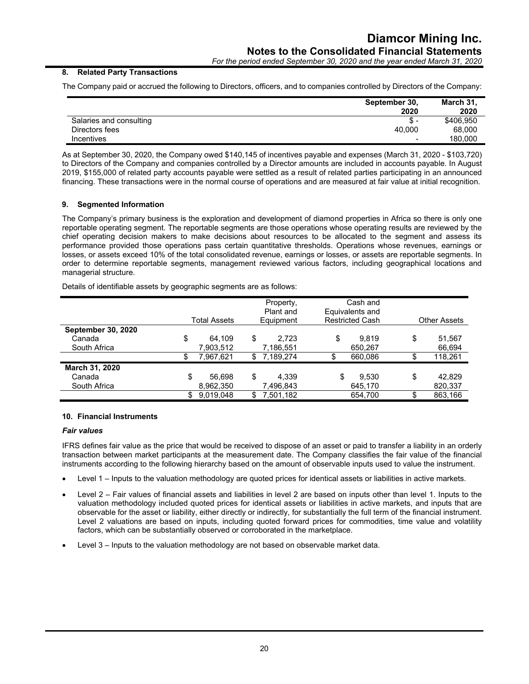*For the period ended September 30, 2020 and the year ended March 31, 2020*

# **8. Related Party Transactions**

The Company paid or accrued the following to Directors, officers, and to companies controlled by Directors of the Company:

|                         | September 30,            | March 31. |
|-------------------------|--------------------------|-----------|
|                         | 2020                     | 2020      |
| Salaries and consulting | Տ. -                     | \$406,950 |
| Directors fees          | 40.000                   | 68,000    |
| <b>Incentives</b>       | $\overline{\phantom{a}}$ | 180.000   |

As at September 30, 2020, the Company owed \$140,145 of incentives payable and expenses (March 31, 2020 - \$103,720) to Directors of the Company and companies controlled by a Director amounts are included in accounts payable. In August 2019, \$155,000 of related party accounts payable were settled as a result of related parties participating in an announced financing. These transactions were in the normal course of operations and are measured at fair value at initial recognition.

#### **9. Segmented Information**

The Company's primary business is the exploration and development of diamond properties in Africa so there is only one reportable operating segment. The reportable segments are those operations whose operating results are reviewed by the chief operating decision makers to make decisions about resources to be allocated to the segment and assess its performance provided those operations pass certain quantitative thresholds. Operations whose revenues, earnings or losses, or assets exceed 10% of the total consolidated revenue, earnings or losses, or assets are reportable segments. In order to determine reportable segments, management reviewed various factors, including geographical locations and managerial structure.

Details of identifiable assets by geographic segments are as follows:

|                           | Total Assets | Property,<br>Plant and<br>Equipment |           | Cash and<br>Equivalents and<br><b>Restricted Cash</b> | <b>Other Assets</b> |         |  |
|---------------------------|--------------|-------------------------------------|-----------|-------------------------------------------------------|---------------------|---------|--|
| <b>September 30, 2020</b> |              |                                     |           |                                                       |                     |         |  |
| Canada                    | \$<br>64.109 | \$                                  | 2.723     | \$<br>9.819                                           | \$                  | 51,567  |  |
| South Africa              | 7,903,512    |                                     | 7,186,551 | 650,267                                               |                     | 66,694  |  |
|                           | 7,967,621    | S                                   | 7,189,274 | \$<br>660,086                                         | c                   | 118,261 |  |
| March 31, 2020            |              |                                     |           |                                                       |                     |         |  |
| Canada                    | \$<br>56.698 | \$                                  | 4.339     | \$<br>9.530                                           | \$                  | 42,829  |  |
| South Africa              | 8,962,350    |                                     | 7,496,843 | 645.170                                               |                     | 820,337 |  |
|                           | 9.019.048    |                                     | 7.501.182 | 654.700                                               | \$                  | 863.166 |  |

#### **10. Financial Instruments**

#### *Fair values*

IFRS defines fair value as the price that would be received to dispose of an asset or paid to transfer a liability in an orderly transaction between market participants at the measurement date. The Company classifies the fair value of the financial instruments according to the following hierarchy based on the amount of observable inputs used to value the instrument.

- Level 1 Inputs to the valuation methodology are quoted prices for identical assets or liabilities in active markets.
- Level 2 Fair values of financial assets and liabilities in level 2 are based on inputs other than level 1. Inputs to the valuation methodology included quoted prices for identical assets or liabilities in active markets, and inputs that are observable for the asset or liability, either directly or indirectly, for substantially the full term of the financial instrument. Level 2 valuations are based on inputs, including quoted forward prices for commodities, time value and volatility factors, which can be substantially observed or corroborated in the marketplace.
- Level 3 Inputs to the valuation methodology are not based on observable market data.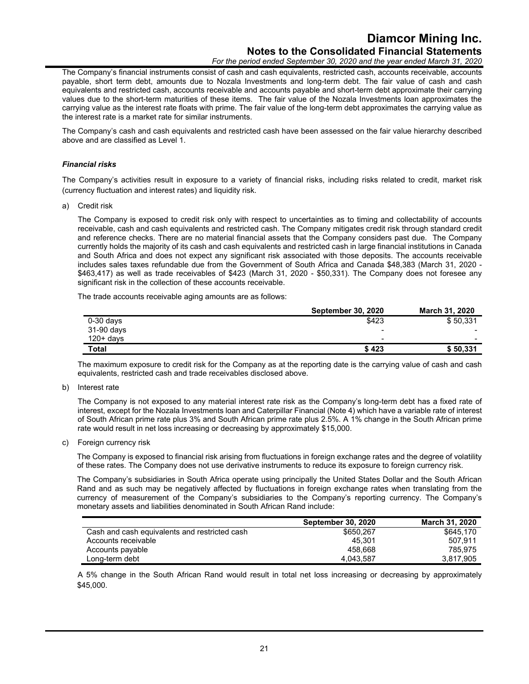# **Diamcor Mining Inc. Notes to the Consolidated Financial Statements**

*For the period ended September 30, 2020 and the year ended March 31, 2020*

The Company's financial instruments consist of cash and cash equivalents, restricted cash, accounts receivable, accounts payable, short term debt, amounts due to Nozala Investments and long-term debt. The fair value of cash and cash equivalents and restricted cash, accounts receivable and accounts payable and short-term debt approximate their carrying values due to the short-term maturities of these items. The fair value of the Nozala Investments loan approximates the carrying value as the interest rate floats with prime. The fair value of the long-term debt approximates the carrying value as the interest rate is a market rate for similar instruments.

The Company's cash and cash equivalents and restricted cash have been assessed on the fair value hierarchy described above and are classified as Level 1.

#### *Financial risks*

The Company's activities result in exposure to a variety of financial risks, including risks related to credit, market risk (currency fluctuation and interest rates) and liquidity risk.

a) Credit risk

The Company is exposed to credit risk only with respect to uncertainties as to timing and collectability of accounts receivable, cash and cash equivalents and restricted cash. The Company mitigates credit risk through standard credit and reference checks. There are no material financial assets that the Company considers past due. The Company currently holds the majority of its cash and cash equivalents and restricted cash in large financial institutions in Canada and South Africa and does not expect any significant risk associated with those deposits. The accounts receivable includes sales taxes refundable due from the Government of South Africa and Canada \$48,383 (March 31, 2020 - \$463,417) as well as trade receivables of \$423 (March 31, 2020 - \$50,331). The Company does not foresee any significant risk in the collection of these accounts receivable.

The trade accounts receivable aging amounts are as follows:

|              | <b>September 30, 2020</b> | <b>March 31, 2020</b> |
|--------------|---------------------------|-----------------------|
| $0-30$ days  | \$423                     | \$50,331              |
| 31-90 days   | $\overline{\phantom{0}}$  |                       |
| $120+$ davs  | $\overline{\phantom{0}}$  | -                     |
| <b>Total</b> | \$423                     | \$50.331              |

The maximum exposure to credit risk for the Company as at the reporting date is the carrying value of cash and cash equivalents, restricted cash and trade receivables disclosed above.

b) Interest rate

The Company is not exposed to any material interest rate risk as the Company's long-term debt has a fixed rate of interest, except for the Nozala Investments loan and Caterpillar Financial (Note 4) which have a variable rate of interest of South African prime rate plus 3% and South African prime rate plus 2.5%. A 1% change in the South African prime rate would result in net loss increasing or decreasing by approximately \$15,000.

c) Foreign currency risk

The Company is exposed to financial risk arising from fluctuations in foreign exchange rates and the degree of volatility of these rates. The Company does not use derivative instruments to reduce its exposure to foreign currency risk.

The Company's subsidiaries in South Africa operate using principally the United States Dollar and the South African Rand and as such may be negatively affected by fluctuations in foreign exchange rates when translating from the currency of measurement of the Company's subsidiaries to the Company's reporting currency. The Company's monetary assets and liabilities denominated in South African Rand include:

|                                               | <b>September 30, 2020</b> | March 31, 2020 |
|-----------------------------------------------|---------------------------|----------------|
| Cash and cash equivalents and restricted cash | \$650.267                 | \$645.170      |
| Accounts receivable                           | 45.301                    | 507.911        |
| Accounts payable                              | 458.668                   | 785.975        |
| Long-term debt                                | 4,043,587                 | 3.817.905      |

A 5% change in the South African Rand would result in total net loss increasing or decreasing by approximately \$45,000.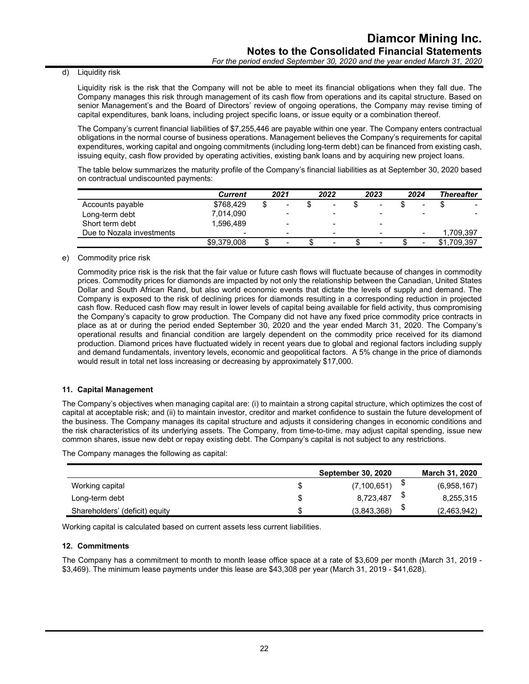#### d) Liquidity risk

Liquidity risk is the risk that the Company will not be able to meet its financial obligations when they fall due. The Company manages this risk through management of its cash flow from operations and its capital structure. Based on senior Management's and the Board of Directors' review of ongoing operations, the Company may revise timing of capital expenditures, bank loans, including project specific loans, or issue equity or a combination thereof.

The Company's current financial liabilities of \$7,255,446 are payable within one year. The Company enters contractual obligations in the normal course of business operations. Management believes the Company's requirements for capital expenditures, working capital and ongoing commitments (including long-term debt) can be financed from existing cash, issuing equity, cash flow provided by operating activities, existing bank loans and by acquiring new project loans.

The table below summarizes the maturity profile of the Company's financial liabilities as at September 30, 2020 based on contractual undiscounted payments:

|                           | Current     | 2021 |                          | 2022 |                          | 2023 |                          | 2024 |                          | Thereafter  |
|---------------------------|-------------|------|--------------------------|------|--------------------------|------|--------------------------|------|--------------------------|-------------|
| Accounts payable          | \$768.429   | \$   | $\,$                     |      | $\blacksquare$           |      | $\blacksquare$           |      | -                        |             |
| Long-term debt            | 7.014.090   |      | $\overline{\phantom{0}}$ |      | $\,$                     |      |                          |      |                          |             |
| Short term debt           | 1.596.489   |      | $\overline{\phantom{0}}$ |      | $\overline{\phantom{0}}$ |      | -                        |      |                          |             |
| Due to Nozala investments | $\,$        |      | $\overline{\phantom{a}}$ |      | $\,$                     |      | $\qquad \qquad$          |      | $\qquad \qquad$          | 1.709.397   |
|                           | \$9.379.008 |      | $\overline{\phantom{0}}$ |      | $\overline{\phantom{a}}$ |      | $\overline{\phantom{a}}$ |      | $\overline{\phantom{a}}$ | \$1.709.397 |

#### e) Commodity price risk

Commodity price risk is the risk that the fair value or future cash flows will fluctuate because of changes in commodity prices. Commodity prices for diamonds are impacted by not only the relationship between the Canadian, United States Dollar and South African Rand, but also world economic events that dictate the levels of supply and demand. The Company is exposed to the risk of declining prices for diamonds resulting in a corresponding reduction in projected cash flow. Reduced cash flow may result in lower levels of capital being available for field activity, thus compromising the Company's capacity to grow production. The Company did not have any fixed price commodity price contracts in place as at or during the period ended September 30, 2020 and the year ended March 31, 2020. The Company's operational results and financial condition are largely dependent on the commodity price received for its diamond production. Diamond prices have fluctuated widely in recent years due to global and regional factors including supply and demand fundamentals, inventory levels, economic and geopolitical factors. A 5% change in the price of diamonds would result in total net loss increasing or decreasing by approximately \$17,000.

# **11. Capital Management**

The Company's objectives when managing capital are: (i) to maintain a strong capital structure, which optimizes the cost of capital at acceptable risk; and (ii) to maintain investor, creditor and market confidence to sustain the future development of the business. The Company manages its capital structure and adjusts it considering changes in economic conditions and the risk characteristics of its underlying assets. The Company, from time-to-time, may adjust capital spending, issue new common shares, issue new debt or repay existing debt. The Company's capital is not subject to any restrictions.

The Company manages the following as capital:

|                                | <b>September 30, 2020</b> |   | <b>March 31, 2020</b> |
|--------------------------------|---------------------------|---|-----------------------|
| Working capital                | (7, 100, 651)             |   | (6,958,167)           |
| Long-term debt                 | 8,723,487                 |   | 8,255,315             |
| Shareholders' (deficit) equity | (3,843,368)               | ง | (2,463,942)           |

Working capital is calculated based on current assets less current liabilities.

#### **12. Commitments**

The Company has a commitment to month to month lease office space at a rate of \$3,609 per month (March 31, 2019 - \$3,469). The minimum lease payments under this lease are \$43,308 per year (March 31, 2019 - \$41,628).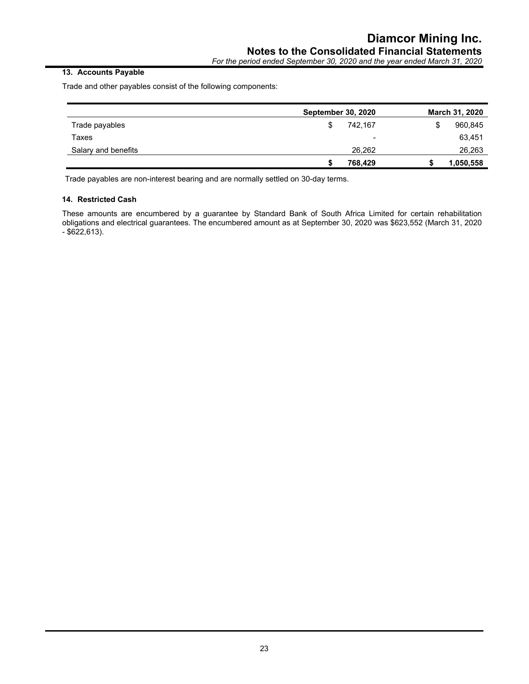# **13. Accounts Payable**

Trade and other payables consist of the following components:

|                     | <b>September 30, 2020</b> |                | March 31, 2020 |
|---------------------|---------------------------|----------------|----------------|
| Trade payables      | S                         | 742.167        | 960,845        |
| Taxes               |                           | $\blacksquare$ | 63,451         |
| Salary and benefits |                           | 26.262         | 26,263         |
|                     |                           | 768,429        | 1,050,558      |

Trade payables are non-interest bearing and are normally settled on 30-day terms.

# **14. Restricted Cash**

These amounts are encumbered by a guarantee by Standard Bank of South Africa Limited for certain rehabilitation obligations and electrical guarantees. The encumbered amount as at September 30, 2020 was \$623,552 (March 31, 2020 - \$622,613).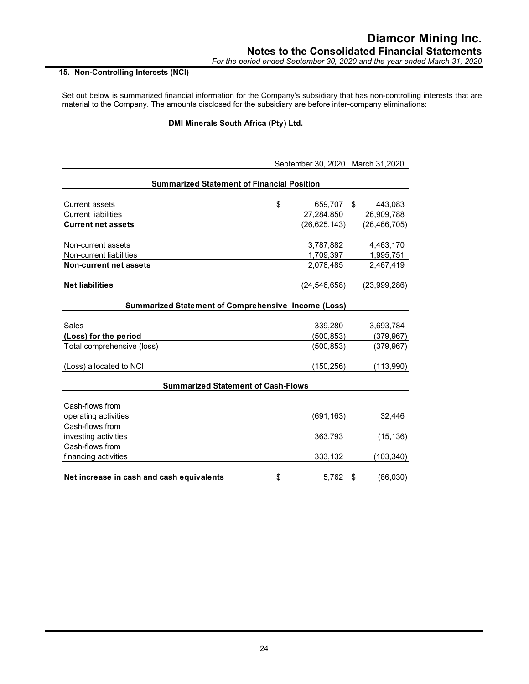# **15. Non-Controlling Interests (NCI)**

Set out below is summarized financial information for the Company's subsidiary that has non-controlling interests that are material to the Company. The amounts disclosed for the subsidiary are before inter-company eliminations:

# **DMI Minerals South Africa (Pty) Ltd.**

|                                                            | September 30, 2020 March 31, 2020 |                |    |                |  |
|------------------------------------------------------------|-----------------------------------|----------------|----|----------------|--|
| <b>Summarized Statement of Financial Position</b>          |                                   |                |    |                |  |
| <b>Current assets</b>                                      | \$                                | 659,707        | \$ | 443,083        |  |
| <b>Current liabilities</b>                                 |                                   | 27,284,850     |    | 26,909,788     |  |
| <b>Current net assets</b>                                  |                                   | (26, 625, 143) |    | (26, 466, 705) |  |
| Non-current assets                                         |                                   | 3,787,882      |    | 4,463,170      |  |
| Non-current liabilities                                    |                                   | 1,709,397      |    | 1,995,751      |  |
| <b>Non-current net assets</b>                              |                                   | 2,078,485      |    | 2,467,419      |  |
| <b>Net liabilities</b>                                     |                                   | (24,546,658)   |    | (23,999,286)   |  |
| <b>Summarized Statement of Comprehensive Income (Loss)</b> |                                   |                |    |                |  |
| Sales                                                      |                                   | 339,280        |    | 3,693,784      |  |
| (Loss) for the period                                      |                                   | (500,853)      |    | (379, 967)     |  |
| Total comprehensive (loss)                                 |                                   | (500, 853)     |    | (379, 967)     |  |
| (Loss) allocated to NCI                                    |                                   | (150, 256)     |    | (113,990)      |  |
| <b>Summarized Statement of Cash-Flows</b>                  |                                   |                |    |                |  |
| Cash-flows from                                            |                                   |                |    |                |  |
| operating activities                                       |                                   | (691, 163)     |    | 32,446         |  |
| Cash-flows from                                            |                                   |                |    |                |  |
| investing activities                                       |                                   | 363,793        |    | (15, 136)      |  |
| Cash-flows from                                            |                                   |                |    |                |  |
| financing activities                                       |                                   | 333,132        |    | (103, 340)     |  |
|                                                            |                                   |                |    |                |  |
| Net increase in cash and cash equivalents                  | \$                                | 5,762          | \$ | (86,030)       |  |